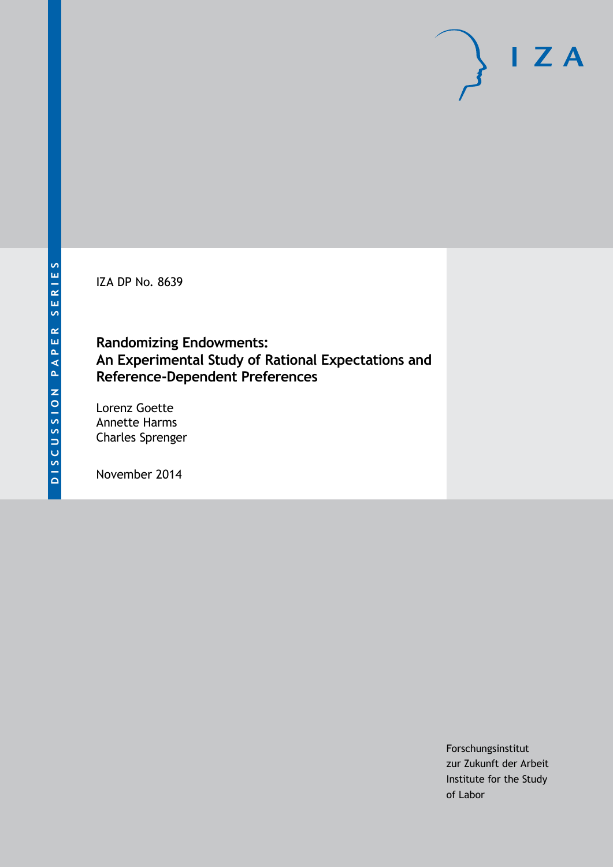IZA DP No. 8639

# **Randomizing Endowments: An Experimental Study of Rational Expectations and Reference-Dependent Preferences**

Lorenz Goette Annette Harms Charles Sprenger

November 2014

Forschungsinstitut zur Zukunft der Arbeit Institute for the Study of Labor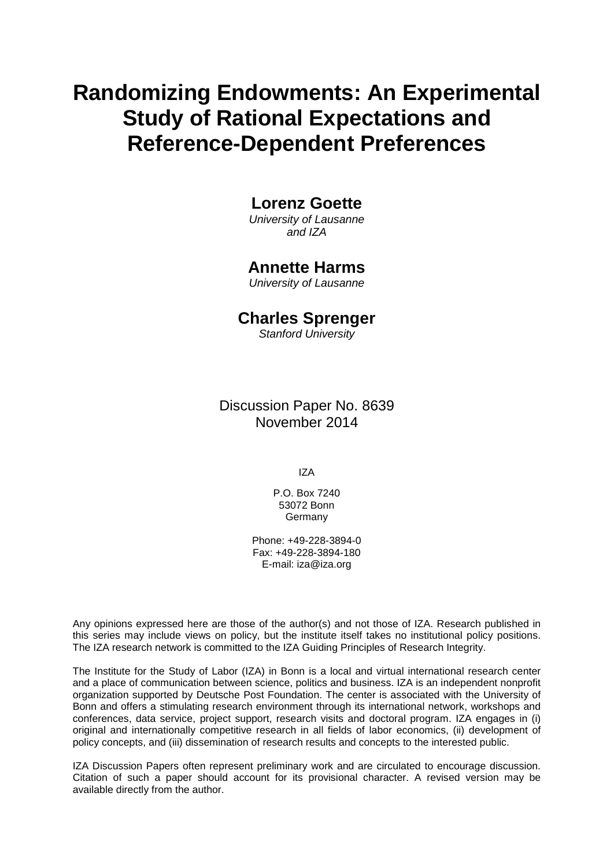# **Randomizing Endowments: An Experimental Study of Rational Expectations and Reference-Dependent Preferences**

### **Lorenz Goette**

*University of Lausanne and IZA*

### **Annette Harms**

*University of Lausanne*

### **Charles Sprenger**

*Stanford University*

Discussion Paper No. 8639 November 2014

IZA

P.O. Box 7240 53072 Bonn Germany

Phone: +49-228-3894-0 Fax: +49-228-3894-180 E-mail: [iza@iza.org](mailto:iza@iza.org)

Any opinions expressed here are those of the author(s) and not those of IZA. Research published in this series may include views on policy, but the institute itself takes no institutional policy positions. The IZA research network is committed to the IZA Guiding Principles of Research Integrity.

The Institute for the Study of Labor (IZA) in Bonn is a local and virtual international research center and a place of communication between science, politics and business. IZA is an independent nonprofit organization supported by Deutsche Post Foundation. The center is associated with the University of Bonn and offers a stimulating research environment through its international network, workshops and conferences, data service, project support, research visits and doctoral program. IZA engages in (i) original and internationally competitive research in all fields of labor economics, (ii) development of policy concepts, and (iii) dissemination of research results and concepts to the interested public.

<span id="page-1-0"></span>IZA Discussion Papers often represent preliminary work and are circulated to encourage discussion. Citation of such a paper should account for its provisional character. A revised version may be available directly from the author.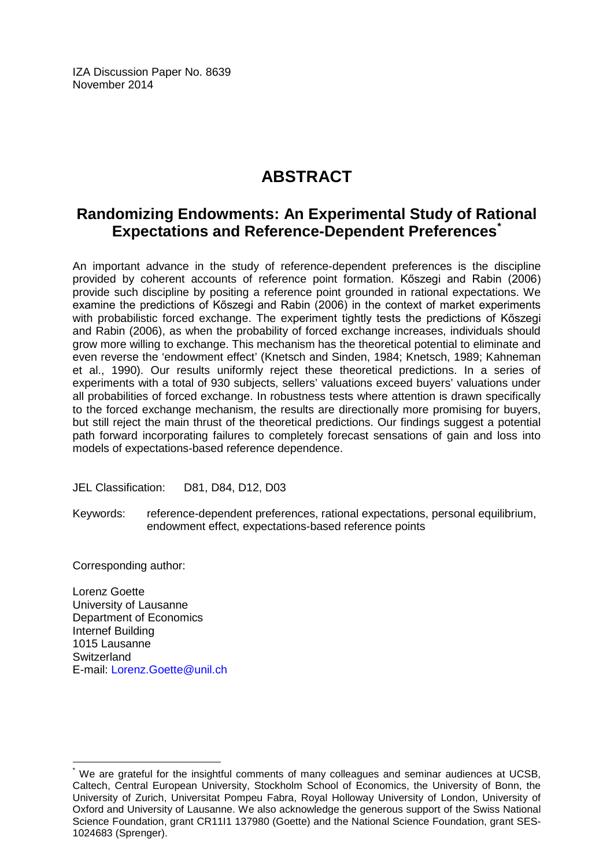IZA Discussion Paper No. 8639 November 2014

# **ABSTRACT**

# **Randomizing Endowments: An Experimental Study of Rational Expectations and Reference-Dependent Preferences[\\*](#page-1-0)**

An important advance in the study of reference-dependent preferences is the discipline provided by coherent accounts of reference point formation. Kőszegi and Rabin (2006) provide such discipline by positing a reference point grounded in rational expectations. We examine the predictions of Kőszegi and Rabin (2006) in the context of market experiments with probabilistic forced exchange. The experiment tightly tests the predictions of Kőszegi and Rabin (2006), as when the probability of forced exchange increases, individuals should grow more willing to exchange. This mechanism has the theoretical potential to eliminate and even reverse the 'endowment effect' (Knetsch and Sinden, 1984; Knetsch, 1989; Kahneman et al., 1990). Our results uniformly reject these theoretical predictions. In a series of experiments with a total of 930 subjects, sellers' valuations exceed buyers' valuations under all probabilities of forced exchange. In robustness tests where attention is drawn specifically to the forced exchange mechanism, the results are directionally more promising for buyers, but still reject the main thrust of the theoretical predictions. Our findings suggest a potential path forward incorporating failures to completely forecast sensations of gain and loss into models of expectations-based reference dependence.

JEL Classification: D81, D84, D12, D03

Keywords: reference-dependent preferences, rational expectations, personal equilibrium, endowment effect, expectations-based reference points

Corresponding author:

Lorenz Goette University of Lausanne Department of Economics Internef Building 1015 Lausanne Switzerland E-mail: [Lorenz.Goette@unil.ch](mailto:Lorenz.Goette@unil.ch)

We are grateful for the insightful comments of many colleagues and seminar audiences at UCSB, Caltech, Central European University, Stockholm School of Economics, the University of Bonn, the University of Zurich, Universitat Pompeu Fabra, Royal Holloway University of London, University of Oxford and University of Lausanne. We also acknowledge the generous support of the Swiss National Science Foundation, grant CR11I1 137980 (Goette) and the National Science Foundation, grant SES-1024683 (Sprenger).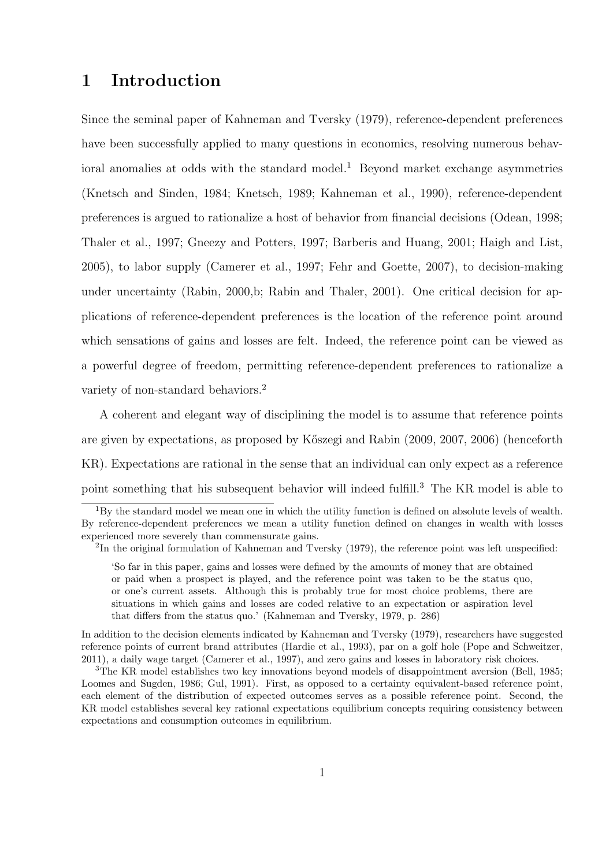# **1 Introduction**

Since the seminal paper of Kahneman and Tversky (1979), reference-dependent preferences have been successfully applied to many questions in economics, resolving numerous behavioral anomalies at odds with the standard model.<sup>1</sup> Beyond market exchange asymmetries (Knetsch and Sinden, 1984; Knetsch, 1989; Kahneman et al., 1990), reference-dependent preferences is argued to rationalize a host of behavior from financial decisions (Odean, 1998; Thaler et al., 1997; Gneezy and Potters, 1997; Barberis and Huang, 2001; Haigh and List, 2005), to labor supply (Camerer et al., 1997; Fehr and Goette, 2007), to decision-making under uncertainty (Rabin, 2000,b; Rabin and Thaler, 2001). One critical decision for applications of reference-dependent preferences is the location of the reference point around which sensations of gains and losses are felt. Indeed, the reference point can be viewed as a powerful degree of freedom, permitting reference-dependent preferences to rationalize a variety of non-standard behaviors.<sup>2</sup>

A coherent and elegant way of disciplining the model is to assume that reference points are given by expectations, as proposed by K˝oszegi and Rabin (2009, 2007, 2006) (henceforth KR). Expectations are rational in the sense that an individual can only expect as a reference point something that his subsequent behavior will indeed fulfill.<sup>3</sup> The KR model is able to

 $1By$  the standard model we mean one in which the utility function is defined on absolute levels of wealth. By reference-dependent preferences we mean a utility function defined on changes in wealth with losses experienced more severely than commensurate gains.

<sup>&</sup>lt;sup>2</sup>In the original formulation of Kahneman and Tversky (1979), the reference point was left unspecified:

<sup>&#</sup>x27;So far in this paper, gains and losses were defined by the amounts of money that are obtained or paid when a prospect is played, and the reference point was taken to be the status quo, or one's current assets. Although this is probably true for most choice problems, there are situations in which gains and losses are coded relative to an expectation or aspiration level that differs from the status quo.' (Kahneman and Tversky, 1979, p. 286)

In addition to the decision elements indicated by Kahneman and Tversky (1979), researchers have suggested reference points of current brand attributes (Hardie et al., 1993), par on a golf hole (Pope and Schweitzer, 2011), a daily wage target (Camerer et al., 1997), and zero gains and losses in laboratory risk choices.

<sup>&</sup>lt;sup>3</sup>The KR model establishes two key innovations beyond models of disappointment aversion (Bell, 1985; Loomes and Sugden, 1986; Gul, 1991). First, as opposed to a certainty equivalent-based reference point, each element of the distribution of expected outcomes serves as a possible reference point. Second, the KR model establishes several key rational expectations equilibrium concepts requiring consistency between expectations and consumption outcomes in equilibrium.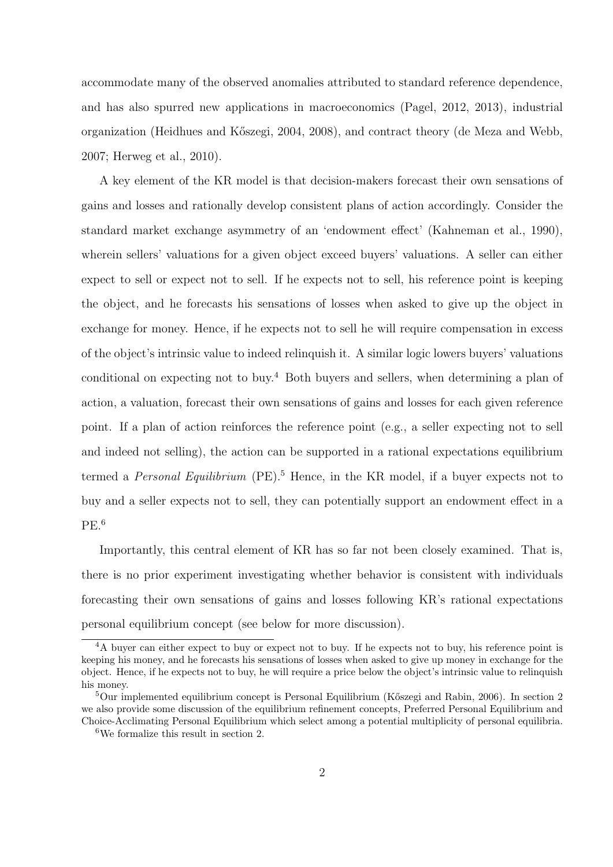accommodate many of the observed anomalies attributed to standard reference dependence, and has also spurred new applications in macroeconomics (Pagel, 2012, 2013), industrial organization (Heidhues and K˝oszegi, 2004, 2008), and contract theory (de Meza and Webb, 2007; Herweg et al., 2010).

A key element of the KR model is that decision-makers forecast their own sensations of gains and losses and rationally develop consistent plans of action accordingly. Consider the standard market exchange asymmetry of an 'endowment effect' (Kahneman et al., 1990), wherein sellers' valuations for a given object exceed buyers' valuations. A seller can either expect to sell or expect not to sell. If he expects not to sell, his reference point is keeping the object, and he forecasts his sensations of losses when asked to give up the object in exchange for money. Hence, if he expects not to sell he will require compensation in excess of the object's intrinsic value to indeed relinquish it. A similar logic lowers buyers' valuations conditional on expecting not to buy.<sup>4</sup> Both buyers and sellers, when determining a plan of action, a valuation, forecast their own sensations of gains and losses for each given reference point. If a plan of action reinforces the reference point (e.g., a seller expecting not to sell and indeed not selling), the action can be supported in a rational expectations equilibrium termed a *Personal Equilibrium* (PE).<sup>5</sup> Hence, in the KR model, if a buyer expects not to buy and a seller expects not to sell, they can potentially support an endowment effect in a  $PE.<sup>6</sup>$ 

Importantly, this central element of KR has so far not been closely examined. That is, there is no prior experiment investigating whether behavior is consistent with individuals forecasting their own sensations of gains and losses following KR's rational expectations personal equilibrium concept (see below for more discussion).

<sup>&</sup>lt;sup>4</sup>A buyer can either expect to buy or expect not to buy. If he expects not to buy, his reference point is keeping his money, and he forecasts his sensations of losses when asked to give up money in exchange for the object. Hence, if he expects not to buy, he will require a price below the object's intrinsic value to relinquish his money.

 $5$ Our implemented equilibrium concept is Personal Equilibrium (Kőszegi and Rabin, 2006). In section 2 we also provide some discussion of the equilibrium refinement concepts, Preferred Personal Equilibrium and Choice-Acclimating Personal Equilibrium which select among a potential multiplicity of personal equilibria.

<sup>6</sup>We formalize this result in section 2.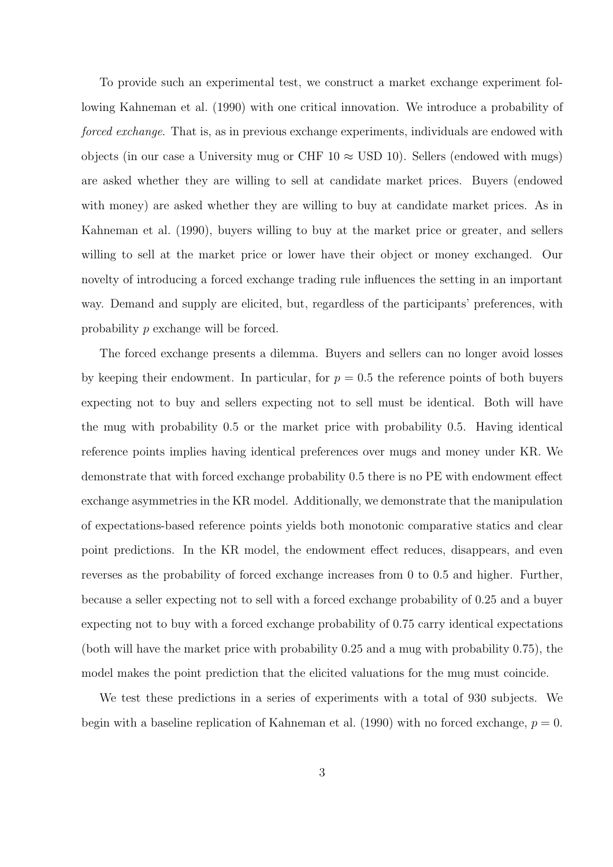To provide such an experimental test, we construct a market exchange experiment following Kahneman et al. (1990) with one critical innovation. We introduce a probability of *forced exchange*. That is, as in previous exchange experiments, individuals are endowed with objects (in our case a University mug or CHF  $10 \approx$  USD 10). Sellers (endowed with mugs) are asked whether they are willing to sell at candidate market prices. Buyers (endowed with money) are asked whether they are willing to buy at candidate market prices. As in Kahneman et al. (1990), buyers willing to buy at the market price or greater, and sellers willing to sell at the market price or lower have their object or money exchanged. Our novelty of introducing a forced exchange trading rule influences the setting in an important way. Demand and supply are elicited, but, regardless of the participants' preferences, with probability *p* exchange will be forced.

The forced exchange presents a dilemma. Buyers and sellers can no longer avoid losses by keeping their endowment. In particular, for  $p = 0.5$  the reference points of both buyers expecting not to buy and sellers expecting not to sell must be identical. Both will have the mug with probability 0.5 or the market price with probability 0.5. Having identical reference points implies having identical preferences over mugs and money under KR. We demonstrate that with forced exchange probability 0.5 there is no PE with endowment effect exchange asymmetries in the KR model. Additionally, we demonstrate that the manipulation of expectations-based reference points yields both monotonic comparative statics and clear point predictions. In the KR model, the endowment effect reduces, disappears, and even reverses as the probability of forced exchange increases from 0 to 0.5 and higher. Further, because a seller expecting not to sell with a forced exchange probability of 0.25 and a buyer expecting not to buy with a forced exchange probability of 0.75 carry identical expectations (both will have the market price with probability 0.25 and a mug with probability 0.75), the model makes the point prediction that the elicited valuations for the mug must coincide.

We test these predictions in a series of experiments with a total of 930 subjects. We begin with a baseline replication of Kahneman et al.  $(1990)$  with no forced exchange,  $p = 0$ .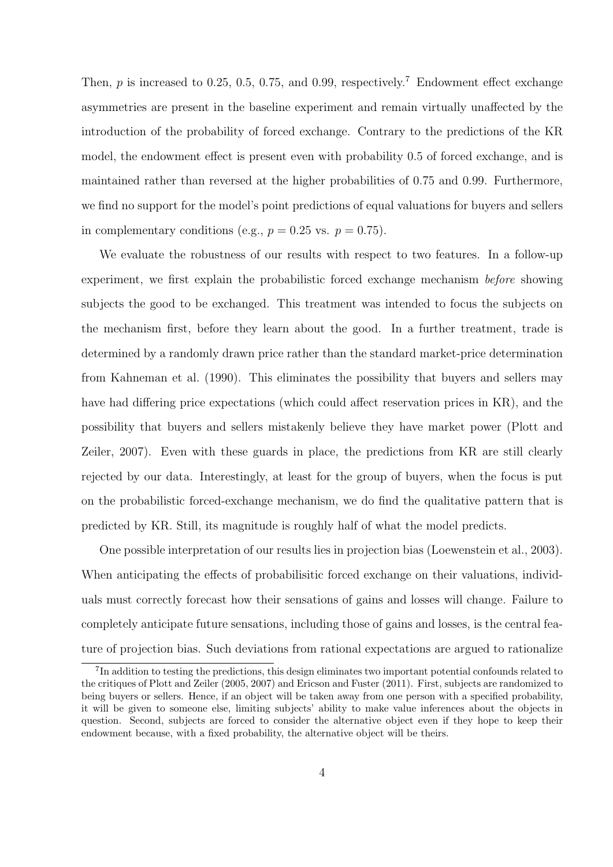Then, *p* is increased to 0.25, 0.5, 0.75, and 0.99, respectively.<sup>7</sup> Endowment effect exchange asymmetries are present in the baseline experiment and remain virtually unaffected by the introduction of the probability of forced exchange. Contrary to the predictions of the KR model, the endowment effect is present even with probability 0.5 of forced exchange, and is maintained rather than reversed at the higher probabilities of 0.75 and 0.99. Furthermore, we find no support for the model's point predictions of equal valuations for buyers and sellers in complementary conditions (e.g.,  $p = 0.25$  vs.  $p = 0.75$ ).

We evaluate the robustness of our results with respect to two features. In a follow-up experiment, we first explain the probabilistic forced exchange mechanism *before* showing subjects the good to be exchanged. This treatment was intended to focus the subjects on the mechanism first, before they learn about the good. In a further treatment, trade is determined by a randomly drawn price rather than the standard market-price determination from Kahneman et al. (1990). This eliminates the possibility that buyers and sellers may have had differing price expectations (which could affect reservation prices in KR), and the possibility that buyers and sellers mistakenly believe they have market power (Plott and Zeiler, 2007). Even with these guards in place, the predictions from KR are still clearly rejected by our data. Interestingly, at least for the group of buyers, when the focus is put on the probabilistic forced-exchange mechanism, we do find the qualitative pattern that is predicted by KR. Still, its magnitude is roughly half of what the model predicts.

One possible interpretation of our results lies in projection bias (Loewenstein et al., 2003). When anticipating the effects of probabilisitic forced exchange on their valuations, individuals must correctly forecast how their sensations of gains and losses will change. Failure to completely anticipate future sensations, including those of gains and losses, is the central feature of projection bias. Such deviations from rational expectations are argued to rationalize

<sup>&</sup>lt;sup>7</sup>In addition to testing the predictions, this design eliminates two important potential confounds related to the critiques of Plott and Zeiler (2005, 2007) and Ericson and Fuster (2011). First, subjects are randomized to being buyers or sellers. Hence, if an object will be taken away from one person with a specified probability, it will be given to someone else, limiting subjects' ability to make value inferences about the objects in question. Second, subjects are forced to consider the alternative object even if they hope to keep their endowment because, with a fixed probability, the alternative object will be theirs.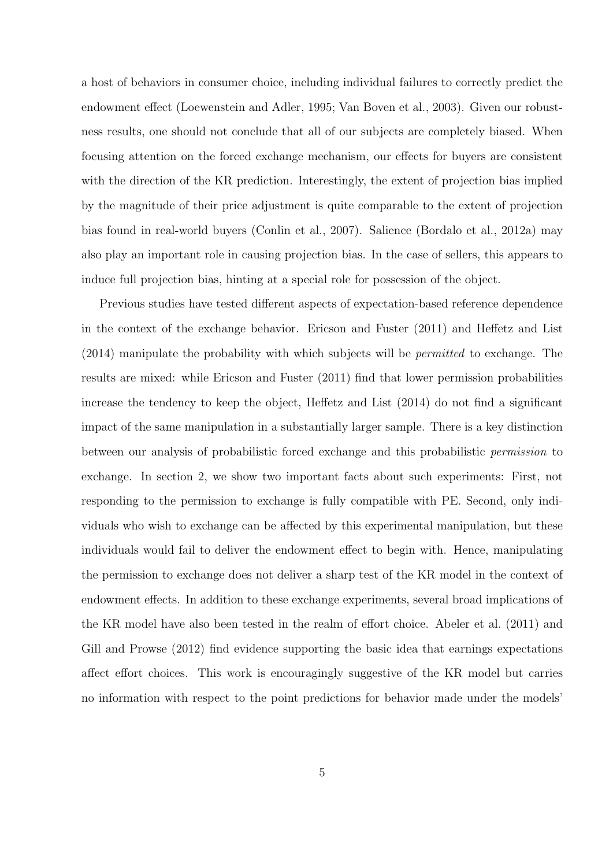a host of behaviors in consumer choice, including individual failures to correctly predict the endowment effect (Loewenstein and Adler, 1995; Van Boven et al., 2003). Given our robustness results, one should not conclude that all of our subjects are completely biased. When focusing attention on the forced exchange mechanism, our effects for buyers are consistent with the direction of the KR prediction. Interestingly, the extent of projection bias implied by the magnitude of their price adjustment is quite comparable to the extent of projection bias found in real-world buyers (Conlin et al., 2007). Salience (Bordalo et al., 2012a) may also play an important role in causing projection bias. In the case of sellers, this appears to induce full projection bias, hinting at a special role for possession of the object.

Previous studies have tested different aspects of expectation-based reference dependence in the context of the exchange behavior. Ericson and Fuster (2011) and Heffetz and List (2014) manipulate the probability with which subjects will be *permitted* to exchange. The results are mixed: while Ericson and Fuster (2011) find that lower permission probabilities increase the tendency to keep the object, Heffetz and List (2014) do not find a significant impact of the same manipulation in a substantially larger sample. There is a key distinction between our analysis of probabilistic forced exchange and this probabilistic *permission* to exchange. In section 2, we show two important facts about such experiments: First, not responding to the permission to exchange is fully compatible with PE. Second, only individuals who wish to exchange can be affected by this experimental manipulation, but these individuals would fail to deliver the endowment effect to begin with. Hence, manipulating the permission to exchange does not deliver a sharp test of the KR model in the context of endowment effects. In addition to these exchange experiments, several broad implications of the KR model have also been tested in the realm of effort choice. Abeler et al. (2011) and Gill and Prowse (2012) find evidence supporting the basic idea that earnings expectations affect effort choices. This work is encouragingly suggestive of the KR model but carries no information with respect to the point predictions for behavior made under the models'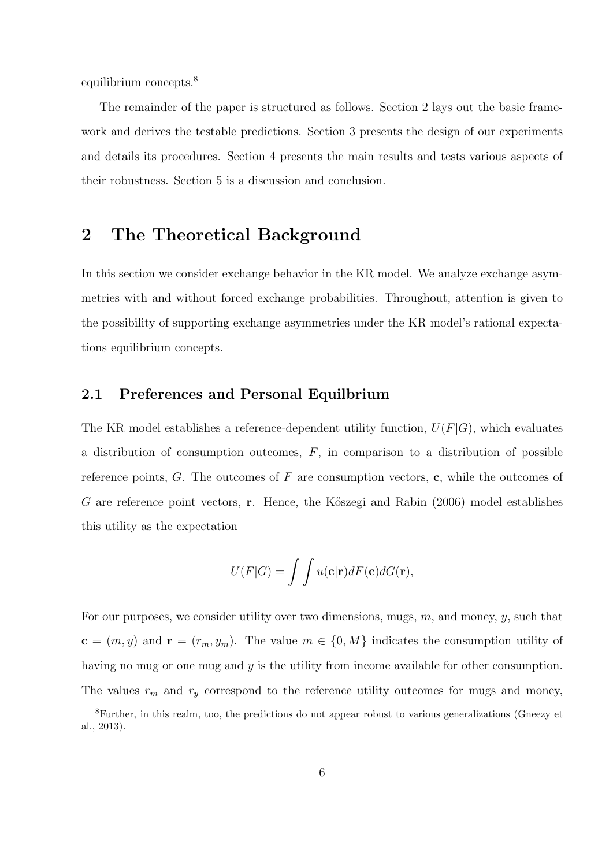equilibrium concepts.<sup>8</sup>

The remainder of the paper is structured as follows. Section 2 lays out the basic framework and derives the testable predictions. Section 3 presents the design of our experiments and details its procedures. Section 4 presents the main results and tests various aspects of their robustness. Section 5 is a discussion and conclusion.

### **2 The Theoretical Background**

In this section we consider exchange behavior in the KR model. We analyze exchange asymmetries with and without forced exchange probabilities. Throughout, attention is given to the possibility of supporting exchange asymmetries under the KR model's rational expectations equilibrium concepts.

### **2.1 Preferences and Personal Equilbrium**

The KR model establishes a reference-dependent utility function,  $U(F|G)$ , which evaluates a distribution of consumption outcomes, *F*, in comparison to a distribution of possible reference points, *G*. The outcomes of *F* are consumption vectors, **c**, while the outcomes of *G* are reference point vectors, **r**. Hence, the Kőszegi and Rabin (2006) model establishes this utility as the expectation

$$
U(F|G) = \int \int u(\mathbf{c}|\mathbf{r})dF(\mathbf{c})dG(\mathbf{r}),
$$

For our purposes, we consider utility over two dimensions, mugs, *m*, and money, *y*, such that **c** =  $(m, y)$  and **r** =  $(r_m, y_m)$ . The value  $m \in \{0, M\}$  indicates the consumption utility of having no mug or one mug and *y* is the utility from income available for other consumption. The values  $r_m$  and  $r_y$  correspond to the reference utility outcomes for mugs and money,

<sup>8</sup>Further, in this realm, too, the predictions do not appear robust to various generalizations (Gneezy et al., 2013).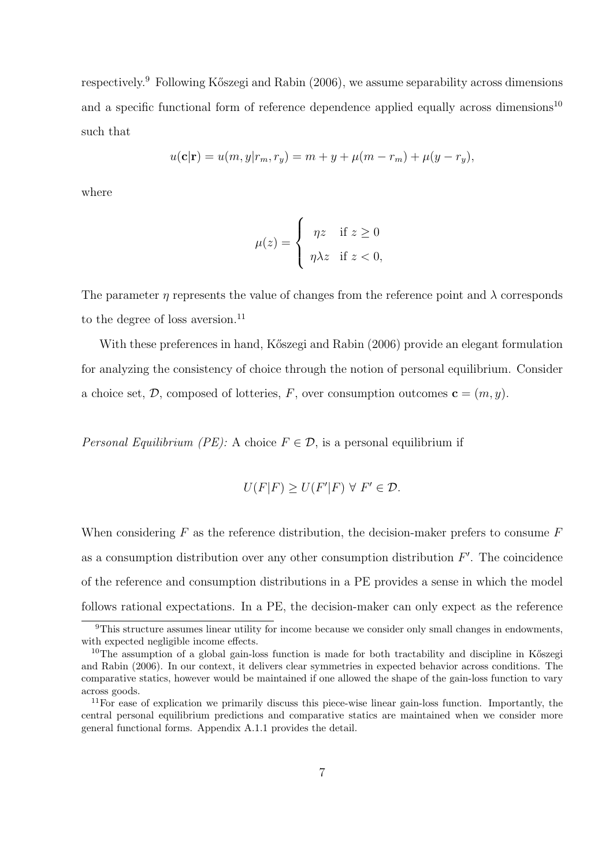respectively.<sup>9</sup> Following Kőszegi and Rabin (2006), we assume separability across dimensions and a specific functional form of reference dependence applied equally across dimensions<sup>10</sup> such that

$$
u(\mathbf{c}|\mathbf{r}) = u(m, y|r_m, r_y) = m + y + \mu(m - r_m) + \mu(y - r_y),
$$

where

$$
\mu(z) = \begin{cases} \eta z & \text{if } z \ge 0 \\ \eta \lambda z & \text{if } z < 0, \end{cases}
$$

The parameter *η* represents the value of changes from the reference point and  $\lambda$  corresponds to the degree of loss aversion.<sup>11</sup>

With these preferences in hand, Kőszegi and Rabin (2006) provide an elegant formulation for analyzing the consistency of choice through the notion of personal equilibrium. Consider a choice set,  $\mathcal{D}$ , composed of lotteries,  $F$ , over consumption outcomes  $\mathbf{c} = (m, y)$ .

*Personal Equilibrium (PE):* A choice  $F \in \mathcal{D}$ , is a personal equilibrium if

$$
U(F|F) \ge U(F'|F) \ \forall \ F' \in \mathcal{D}.
$$

When considering *F* as the reference distribution, the decision-maker prefers to consume *F* as a consumption distribution over any other consumption distribution *F ′* . The coincidence of the reference and consumption distributions in a PE provides a sense in which the model follows rational expectations. In a PE, the decision-maker can only expect as the reference

<sup>&</sup>lt;sup>9</sup>This structure assumes linear utility for income because we consider only small changes in endowments, with expected negligible income effects.

 $10$ The assumption of a global gain-loss function is made for both tractability and discipline in Kőszegi and Rabin (2006). In our context, it delivers clear symmetries in expected behavior across conditions. The comparative statics, however would be maintained if one allowed the shape of the gain-loss function to vary across goods.

 $11$ For ease of explication we primarily discuss this piece-wise linear gain-loss function. Importantly, the central personal equilibrium predictions and comparative statics are maintained when we consider more general functional forms. Appendix A.1.1 provides the detail.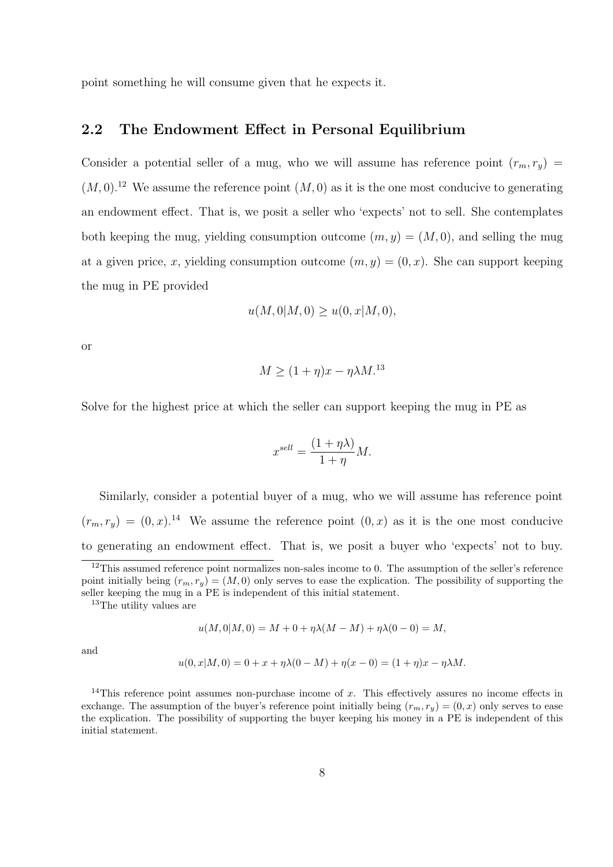point something he will consume given that he expects it.

### **2.2 The Endowment Effect in Personal Equilibrium**

Consider a potential seller of a mug, who we will assume has reference point  $(r_m, r_y)$  $(M,0).$ <sup>12</sup> We assume the reference point  $(M,0)$  as it is the one most conducive to generating an endowment effect. That is, we posit a seller who 'expects' not to sell. She contemplates both keeping the mug, yielding consumption outcome  $(m, y) = (M, 0)$ , and selling the mug at a given price, *x*, yielding consumption outcome  $(m, y) = (0, x)$ . She can support keeping the mug in PE provided

$$
u(M,0|M,0) \ge u(0,x|M,0),
$$

or

$$
M \ge (1 + \eta)x - \eta \lambda M^{13}
$$

Solve for the highest price at which the seller can support keeping the mug in PE as

$$
x^{sell} = \frac{(1 + \eta \lambda)}{1 + \eta} M.
$$

Similarly, consider a potential buyer of a mug, who we will assume has reference point  $(r_m, r_y) = (0, x).$ <sup>14</sup> We assume the reference point  $(0, x)$  as it is the one most conducive to generating an endowment effect. That is, we posit a buyer who 'expects' not to buy.

<sup>13</sup>The utility values are

$$
u(M,0|M,0) = M + 0 + \eta\lambda(M-M) + \eta\lambda(0-0) = M,
$$

and

$$
u(0, x|M, 0) = 0 + x + \eta \lambda (0 - M) + \eta(x - 0) = (1 + \eta)x - \eta \lambda M.
$$

<sup>14</sup>This reference point assumes non-purchase income of x. This effectively assures no income effects in exchange. The assumption of the buyer's reference point initially being  $(r_m, r_y) = (0, x)$  only serves to ease the explication. The possibility of supporting the buyer keeping his money in a PE is independent of this initial statement.

<sup>&</sup>lt;sup>12</sup>This assumed reference point normalizes non-sales income to 0. The assumption of the seller's reference point initially being  $(r_m, r_y) = (M, 0)$  only serves to ease the explication. The possibility of supporting the seller keeping the mug in a PE is independent of this initial statement.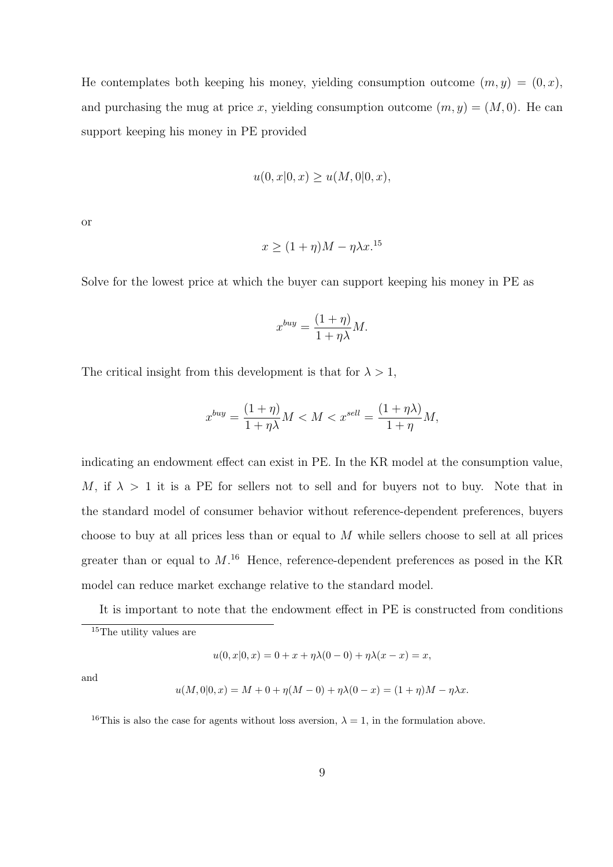He contemplates both keeping his money, yielding consumption outcome  $(m, y) = (0, x)$ , and purchasing the mug at price *x*, yielding consumption outcome  $(m, y) = (M, 0)$ . He can support keeping his money in PE provided

$$
u(0, x | 0, x) \ge u(M, 0 | 0, x),
$$

or

$$
x \ge (1 + \eta)M - \eta \lambda x^{15}
$$

Solve for the lowest price at which the buyer can support keeping his money in PE as

$$
x^{buy} = \frac{(1+\eta)}{1+\eta\lambda}M.
$$

The critical insight from this development is that for  $\lambda > 1$ ,

$$
x^{buy} = \frac{(1+\eta)}{1+\eta\lambda}M < M < x^{sell} = \frac{(1+\eta\lambda)}{1+\eta}M,
$$

indicating an endowment effect can exist in PE. In the KR model at the consumption value, *M*, if  $\lambda > 1$  it is a PE for sellers not to sell and for buyers not to buy. Note that in the standard model of consumer behavior without reference-dependent preferences, buyers choose to buy at all prices less than or equal to *M* while sellers choose to sell at all prices greater than or equal to *M*. <sup>16</sup> Hence, reference-dependent preferences as posed in the KR model can reduce market exchange relative to the standard model.

It is important to note that the endowment effect in PE is constructed from conditions

$$
u(0, x|0, x) = 0 + x + \eta \lambda (0 - 0) + \eta \lambda (x - x) = x,
$$

and

$$
u(M,0|0,x) = M + 0 + \eta(M-0) + \eta\lambda(0-x) = (1+\eta)M - \eta\lambda x.
$$

<sup>16</sup>This is also the case for agents without loss aversion,  $\lambda = 1$ , in the formulation above.

<sup>&</sup>lt;sup>15</sup>The utility values are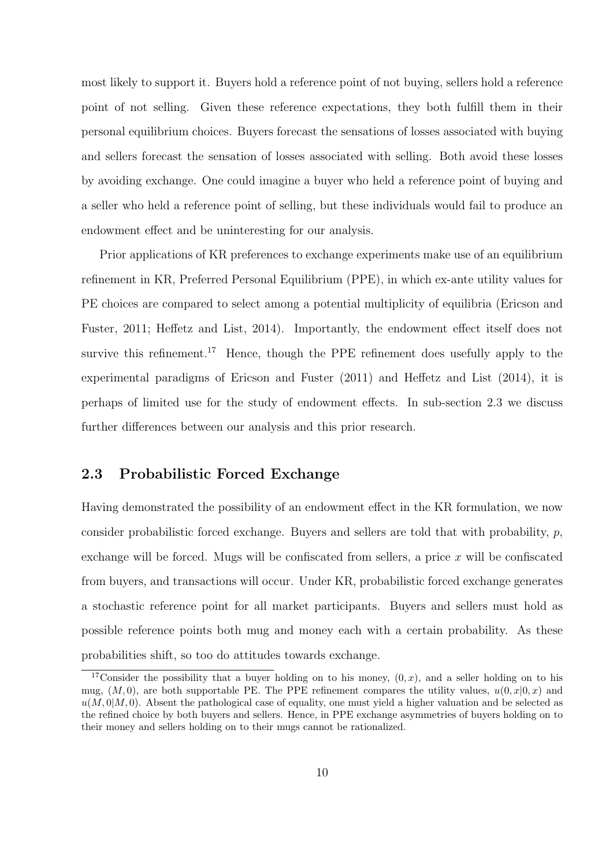most likely to support it. Buyers hold a reference point of not buying, sellers hold a reference point of not selling. Given these reference expectations, they both fulfill them in their personal equilibrium choices. Buyers forecast the sensations of losses associated with buying and sellers forecast the sensation of losses associated with selling. Both avoid these losses by avoiding exchange. One could imagine a buyer who held a reference point of buying and a seller who held a reference point of selling, but these individuals would fail to produce an endowment effect and be uninteresting for our analysis.

Prior applications of KR preferences to exchange experiments make use of an equilibrium refinement in KR, Preferred Personal Equilibrium (PPE), in which ex-ante utility values for PE choices are compared to select among a potential multiplicity of equilibria (Ericson and Fuster, 2011; Heffetz and List, 2014). Importantly, the endowment effect itself does not survive this refinement.<sup>17</sup> Hence, though the PPE refinement does usefully apply to the experimental paradigms of Ericson and Fuster (2011) and Heffetz and List (2014), it is perhaps of limited use for the study of endowment effects. In sub-section 2.3 we discuss further differences between our analysis and this prior research.

### **2.3 Probabilistic Forced Exchange**

Having demonstrated the possibility of an endowment effect in the KR formulation, we now consider probabilistic forced exchange. Buyers and sellers are told that with probability, *p*, exchange will be forced. Mugs will be confiscated from sellers, a price *x* will be confiscated from buyers, and transactions will occur. Under KR, probabilistic forced exchange generates a stochastic reference point for all market participants. Buyers and sellers must hold as possible reference points both mug and money each with a certain probability. As these probabilities shift, so too do attitudes towards exchange.

<sup>&</sup>lt;sup>17</sup>Consider the possibility that a buyer holding on to his money,  $(0, x)$ , and a seller holding on to his mug,  $(M, 0)$ , are both supportable PE. The PPE refinement compares the utility values,  $u(0, x|0, x)$  and  $u(M,0|M,0)$ . Absent the pathological case of equality, one must yield a higher valuation and be selected as the refined choice by both buyers and sellers. Hence, in PPE exchange asymmetries of buyers holding on to their money and sellers holding on to their mugs cannot be rationalized.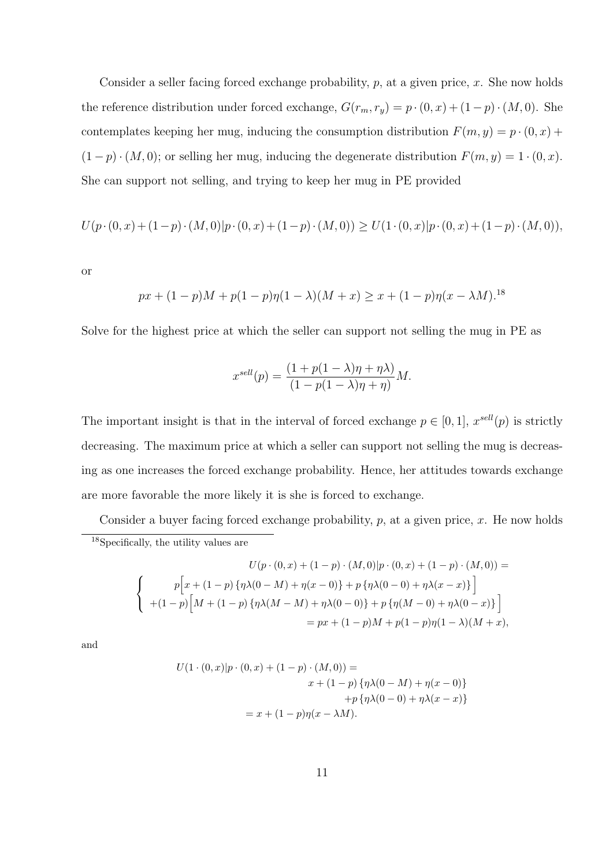Consider a seller facing forced exchange probability, *p*, at a given price, *x*. She now holds the reference distribution under forced exchange,  $G(r_m, r_y) = p \cdot (0, x) + (1 - p) \cdot (M, 0)$ . She contemplates keeping her mug, inducing the consumption distribution  $F(m, y) = p \cdot (0, x) +$  $(1-p) \cdot (M, 0)$ ; or selling her mug, inducing the degenerate distribution  $F(m, y) = 1 \cdot (0, x)$ . She can support not selling, and trying to keep her mug in PE provided

$$
U(p \cdot (0, x) + (1-p) \cdot (M, 0)|p \cdot (0, x) + (1-p) \cdot (M, 0)) \geq U(1 \cdot (0, x)|p \cdot (0, x) + (1-p) \cdot (M, 0)),
$$

or

$$
px + (1 - p)M + p(1 - p)\eta(1 - \lambda)(M + x) \ge x + (1 - p)\eta(x - \lambda M)^{18}
$$

Solve for the highest price at which the seller can support not selling the mug in PE as

$$
x^{sell}(p) = \frac{(1 + p(1 - \lambda)\eta + \eta\lambda)}{(1 - p(1 - \lambda)\eta + \eta)}M.
$$

The important insight is that in the interval of forced exchange  $p \in [0, 1]$ ,  $x^{sell}(p)$  is strictly decreasing. The maximum price at which a seller can support not selling the mug is decreasing as one increases the forced exchange probability. Hence, her attitudes towards exchange are more favorable the more likely it is she is forced to exchange.

Consider a buyer facing forced exchange probability, *p*, at a given price, *x*. He now holds <sup>18</sup>Specifically, the utility values are

$$
U(p \cdot (0, x) + (1 - p) \cdot (M, 0)|p \cdot (0, x) + (1 - p) \cdot (M, 0)) =
$$
\n
$$
\begin{cases}\np\left[x + (1 - p)\{\eta\lambda(0 - M) + \eta(x - 0)\} + p\{\eta\lambda(0 - 0) + \eta\lambda(x - x)\}\right] \\
+(1 - p)\left[M + (1 - p)\{\eta\lambda(M - M) + \eta\lambda(0 - 0)\} + p\{\eta(M - 0) + \eta\lambda(0 - x)\}\right] \\
= px + (1 - p)M + p(1 - p)\eta(1 - \lambda)(M + x),\n\end{cases}
$$

and

$$
U(1 \cdot (0,x)|p \cdot (0,x) + (1-p) \cdot (M,0)) =
$$
  

$$
x + (1-p) \{\eta \lambda (0-M) + \eta (x-0)\}\
$$
  

$$
+ p \{\eta \lambda (0-0) + \eta \lambda (x-x)\}\
$$
  

$$
= x + (1-p)\eta (x - \lambda M).
$$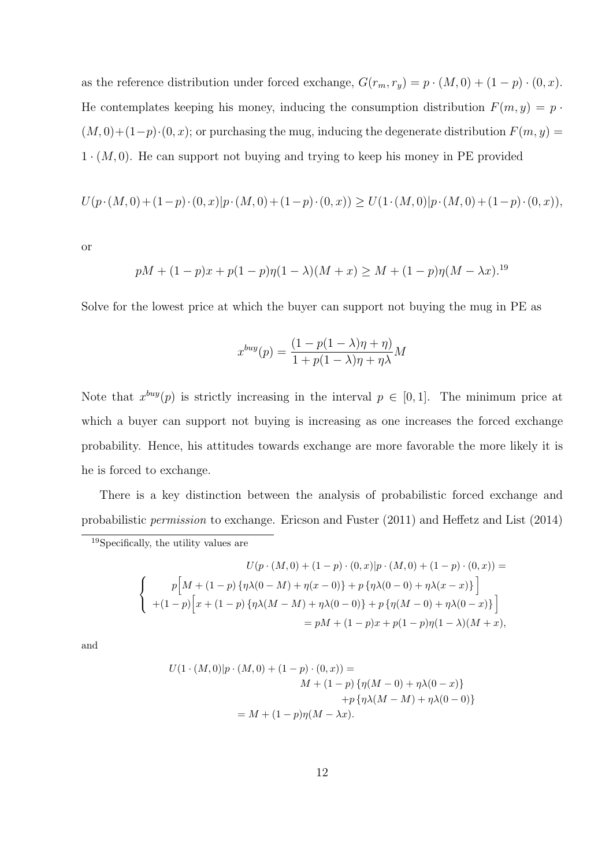as the reference distribution under forced exchange,  $G(r_m, r_y) = p \cdot (M, 0) + (1 - p) \cdot (0, x)$ . He contemplates keeping his money, inducing the consumption distribution  $F(m, y) = p \cdot$  $(M, 0) + (1-p) \cdot (0, x)$ ; or purchasing the mug, inducing the degenerate distribution  $F(m, y) =$ 1 *·* (*M,* 0). He can support not buying and trying to keep his money in PE provided

$$
U(p \cdot (M,0) + (1-p) \cdot (0,x)|p \cdot (M,0) + (1-p) \cdot (0,x)) \ge U(1 \cdot (M,0)|p \cdot (M,0) + (1-p) \cdot (0,x)),
$$

or

$$
pM + (1 - p)x + p(1 - p)\eta(1 - \lambda)(M + x) \ge M + (1 - p)\eta(M - \lambda x)^{19}
$$

Solve for the lowest price at which the buyer can support not buying the mug in PE as

$$
x^{buy}(p) = \frac{(1 - p(1 - \lambda)\eta + \eta)}{1 + p(1 - \lambda)\eta + \eta\lambda}M
$$

Note that  $x^{buy}(p)$  is strictly increasing in the interval  $p \in [0,1]$ . The minimum price at which a buyer can support not buying is increasing as one increases the forced exchange probability. Hence, his attitudes towards exchange are more favorable the more likely it is he is forced to exchange.

There is a key distinction between the analysis of probabilistic forced exchange and probabilistic *permission* to exchange. Ericson and Fuster (2011) and Heffetz and List (2014)

$$
U(p \cdot (M, 0) + (1 - p) \cdot (0, x)|p \cdot (M, 0) + (1 - p) \cdot (0, x)) =
$$
\n
$$
\begin{cases}\n p\big[M + (1 - p)\{\eta\lambda(0 - M) + \eta(x - 0)\} + p\{\eta\lambda(0 - 0) + \eta\lambda(x - x)\}\big] \\
 + (1 - p)\big[x + (1 - p)\{\eta\lambda(M - M) + \eta\lambda(0 - 0)\} + p\{\eta(M - 0) + \eta\lambda(0 - x)\}\big] \\
 = pM + (1 - p)x + p(1 - p)\eta(1 - \lambda)(M + x),\n\end{cases}
$$

and

$$
U(1 \cdot (M,0)|p \cdot (M,0) + (1-p) \cdot (0,x)) =
$$
  
\n
$$
M + (1-p) \{\eta(M-0) + \eta \lambda(0-x)\}
$$
  
\n
$$
+ p \{\eta \lambda(M-M) + \eta \lambda(0-0)\}
$$
  
\n
$$
= M + (1-p)\eta(M - \lambda x).
$$

<sup>19</sup>Specifically, the utility values are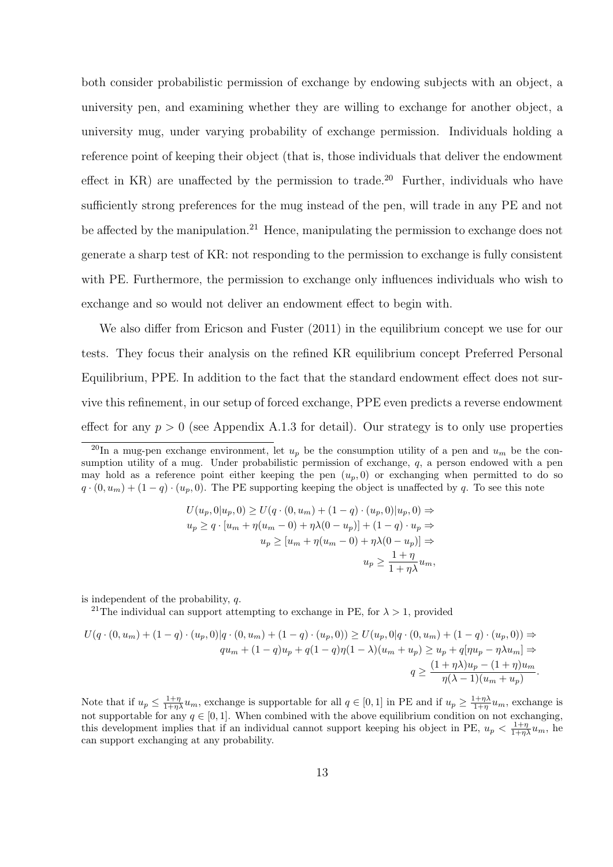both consider probabilistic permission of exchange by endowing subjects with an object, a university pen, and examining whether they are willing to exchange for another object, a university mug, under varying probability of exchange permission. Individuals holding a reference point of keeping their object (that is, those individuals that deliver the endowment effect in  $KR$ ) are unaffected by the permission to trade.<sup>20</sup> Further, individuals who have sufficiently strong preferences for the mug instead of the pen, will trade in any PE and not be affected by the manipulation.<sup>21</sup> Hence, manipulating the permission to exchange does not generate a sharp test of KR: not responding to the permission to exchange is fully consistent with PE. Furthermore, the permission to exchange only influences individuals who wish to exchange and so would not deliver an endowment effect to begin with.

We also differ from Ericson and Fuster  $(2011)$  in the equilibrium concept we use for our tests. They focus their analysis on the refined KR equilibrium concept Preferred Personal Equilibrium, PPE. In addition to the fact that the standard endowment effect does not survive this refinement, in our setup of forced exchange, PPE even predicts a reverse endowment effect for any  $p > 0$  (see Appendix A.1.3 for detail). Our strategy is to only use properties

$$
U(u_p, 0|u_p, 0) \ge U(q \cdot (0, u_m) + (1 - q) \cdot (u_p, 0)|u_p, 0) \Rightarrow
$$
  
\n
$$
u_p \ge q \cdot [u_m + \eta(u_m - 0) + \eta \lambda(0 - u_p)] + (1 - q) \cdot u_p \Rightarrow
$$
  
\n
$$
u_p \ge [u_m + \eta(u_m - 0) + \eta \lambda(0 - u_p)] \Rightarrow
$$
  
\n
$$
u_p \ge \frac{1 + \eta}{1 + \eta \lambda} u_m,
$$

is independent of the probability, *q*.

<sup>21</sup>The individual can support attempting to exchange in PE, for  $\lambda > 1$ , provided

$$
U(q \cdot (0, u_m) + (1 - q) \cdot (u_p, 0)|q \cdot (0, u_m) + (1 - q) \cdot (u_p, 0)) \ge U(u_p, 0|q \cdot (0, u_m) + (1 - q) \cdot (u_p, 0)) \Rightarrow
$$
  

$$
qu_m + (1 - q)u_p + q(1 - q)\eta(1 - \lambda)(u_m + u_p) \ge u_p + q[\eta u_p - \eta \lambda u_m] \Rightarrow
$$
  

$$
q \ge \frac{(1 + \eta \lambda)u_p - (1 + \eta)u_m}{\eta(\lambda - 1)(u_m + u_p)}.
$$

Note that if  $u_p \n\t\leq \frac{1+\eta}{1+\eta\lambda}u_m$ , exchange is supportable for all  $q \in [0,1]$  in PE and if  $u_p \geq \frac{1+\eta\lambda}{1+\eta}u_m$ , exchange is not supportable for any  $q \in [0, 1]$ . When combined with the above equilibrium condition on not exchanging, this development implies that if an individual cannot support keeping his object in PE,  $u_p < \frac{1+\eta}{1+\eta\lambda} u_m$ , he can support exchanging at any probability.

<sup>&</sup>lt;sup>20</sup>In a mug-pen exchange environment, let  $u_p$  be the consumption utility of a pen and  $u_m$  be the consumption utility of a mug. Under probabilistic permission of exchange, *q*, a person endowed with a pen may hold as a reference point either keeping the pen  $(u_p, 0)$  or exchanging when permitted to do so  $q \cdot (0, u_m) + (1 - q) \cdot (u_p, 0)$ . The PE supporting keeping the object is unaffected by *q*. To see this note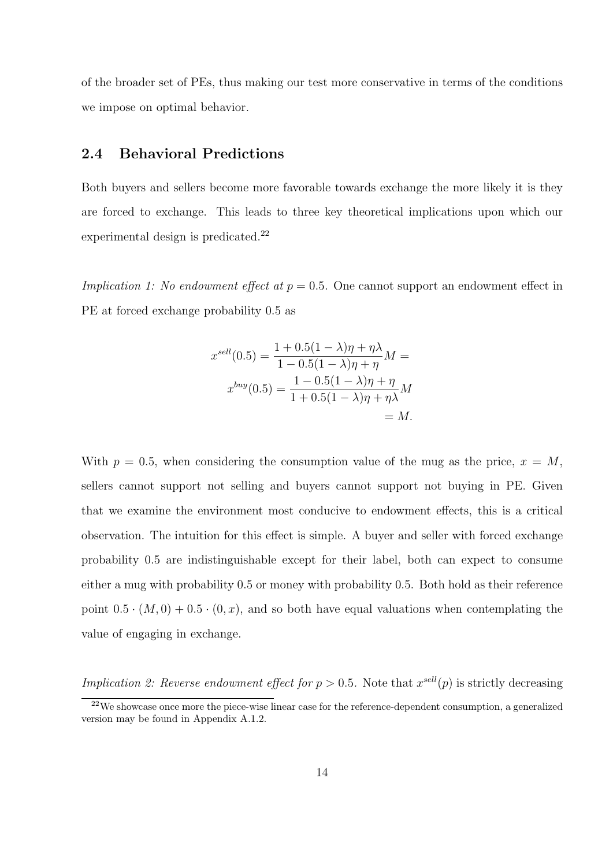of the broader set of PEs, thus making our test more conservative in terms of the conditions we impose on optimal behavior.

### **2.4 Behavioral Predictions**

Both buyers and sellers become more favorable towards exchange the more likely it is they are forced to exchange. This leads to three key theoretical implications upon which our experimental design is predicated.<sup>22</sup>

*Implication 1: No endowment effect at*  $p = 0.5$ . One cannot support an endowment effect in PE at forced exchange probability 0.5 as

$$
x^{sell}(0.5) = \frac{1 + 0.5(1 - \lambda)\eta + \eta\lambda}{1 - 0.5(1 - \lambda)\eta + \eta}M =
$$
  

$$
x^{buy}(0.5) = \frac{1 - 0.5(1 - \lambda)\eta + \eta}{1 + 0.5(1 - \lambda)\eta + \eta\lambda}M = M.
$$

With  $p = 0.5$ , when considering the consumption value of the mug as the price,  $x = M$ , sellers cannot support not selling and buyers cannot support not buying in PE. Given that we examine the environment most conducive to endowment effects, this is a critical observation. The intuition for this effect is simple. A buyer and seller with forced exchange probability 0.5 are indistinguishable except for their label, both can expect to consume either a mug with probability 0.5 or money with probability 0.5. Both hold as their reference point  $0.5 \cdot (M, 0) + 0.5 \cdot (0, x)$ , and so both have equal valuations when contemplating the value of engaging in exchange.

*Implication 2: Reverse endowment effect for*  $p > 0.5$ . Note that  $x^{sell}(p)$  is strictly decreasing

<sup>&</sup>lt;sup>22</sup>We showcase once more the piece-wise linear case for the reference-dependent consumption, a generalized version may be found in Appendix A.1.2.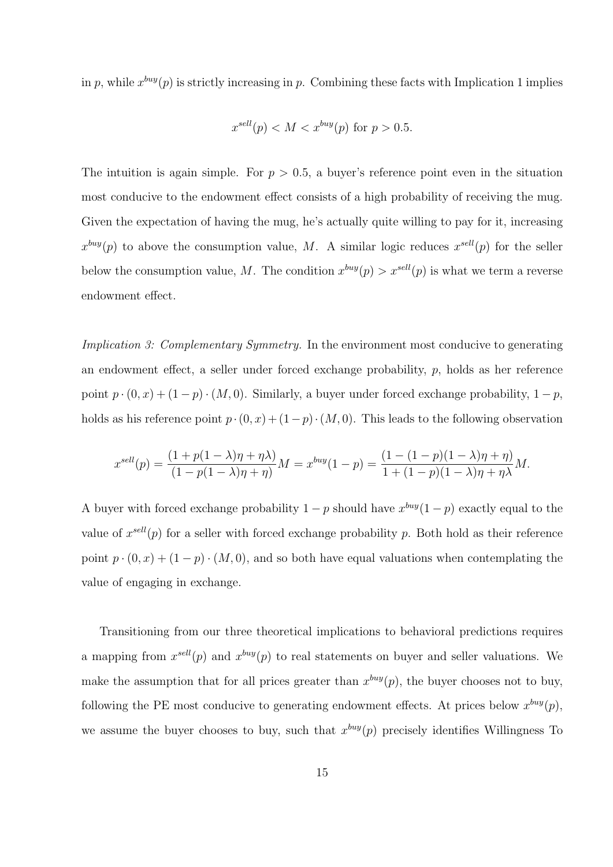in  $p$ , while  $x^{buy}(p)$  is strictly increasing in  $p$ . Combining these facts with Implication 1 implies

$$
x^{sell}(p) < M < x^{buy}(p) \text{ for } p > 0.5.
$$

The intuition is again simple. For  $p > 0.5$ , a buyer's reference point even in the situation most conducive to the endowment effect consists of a high probability of receiving the mug. Given the expectation of having the mug, he's actually quite willing to pay for it, increasing  $x^{buy}(p)$  to above the consumption value, *M*. A similar logic reduces  $x^{sell}(p)$  for the seller below the consumption value, M. The condition  $x^{buy}(p) > x^{sell}(p)$  is what we term a reverse endowment effect.

*Implication 3: Complementary Symmetry.* In the environment most conducive to generating an endowment effect, a seller under forced exchange probability, *p*, holds as her reference point  $p \cdot (0, x) + (1 - p) \cdot (M, 0)$ . Similarly, a buyer under forced exchange probability,  $1 - p$ , holds as his reference point  $p \cdot (0, x) + (1 - p) \cdot (M, 0)$ . This leads to the following observation

$$
x^{sell}(p) = \frac{(1 + p(1 - \lambda)\eta + \eta\lambda)}{(1 - p(1 - \lambda)\eta + \eta)}M = x^{buy}(1 - p) = \frac{(1 - (1 - p)(1 - \lambda)\eta + \eta)}{1 + (1 - p)(1 - \lambda)\eta + \eta\lambda}M.
$$

A buyer with forced exchange probability  $1 - p$  should have  $x^{buy}(1 - p)$  exactly equal to the value of  $x^{sell}(p)$  for a seller with forced exchange probability p. Both hold as their reference point  $p \cdot (0, x) + (1 - p) \cdot (M, 0)$ , and so both have equal valuations when contemplating the value of engaging in exchange.

Transitioning from our three theoretical implications to behavioral predictions requires a mapping from  $x^{sell}(p)$  and  $x^{buy}(p)$  to real statements on buyer and seller valuations. We make the assumption that for all prices greater than  $x^{buy}(p)$ , the buyer chooses not to buy, following the PE most conducive to generating endowment effects. At prices below  $x^{buy}(p)$ , we assume the buyer chooses to buy, such that  $x^{buy}(p)$  precisely identifies Willingness To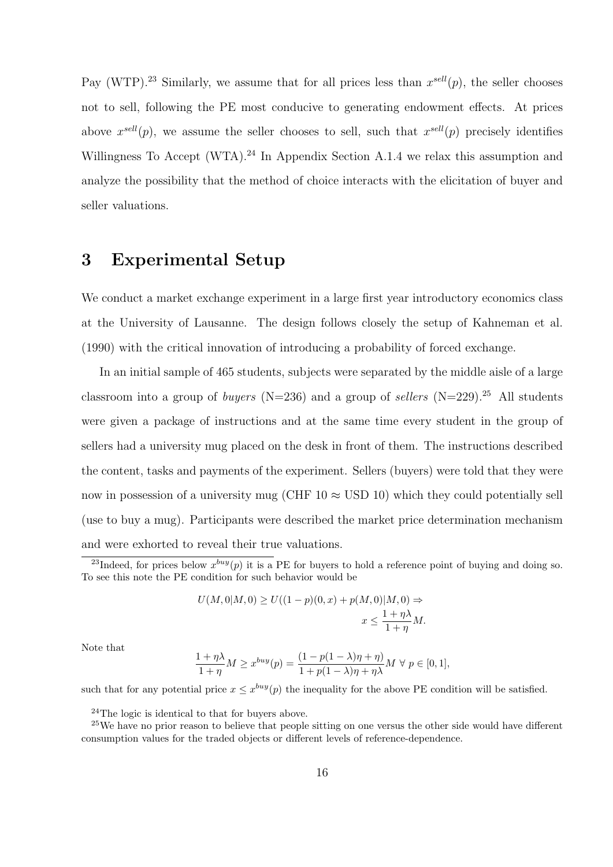Pay (WTP).<sup>23</sup> Similarly, we assume that for all prices less than  $x^{sell}(p)$ , the seller chooses not to sell, following the PE most conducive to generating endowment effects. At prices above  $x^{sell}(p)$ , we assume the seller chooses to sell, such that  $x^{sell}(p)$  precisely identifies Willingness To Accept (WTA).<sup>24</sup> In Appendix Section A.1.4 we relax this assumption and analyze the possibility that the method of choice interacts with the elicitation of buyer and seller valuations.

# **3 Experimental Setup**

We conduct a market exchange experiment in a large first year introductory economics class at the University of Lausanne. The design follows closely the setup of Kahneman et al. (1990) with the critical innovation of introducing a probability of forced exchange.

In an initial sample of 465 students, subjects were separated by the middle aisle of a large classroom into a group of *buyers* (N=236) and a group of *sellers* (N=229).<sup>25</sup> All students were given a package of instructions and at the same time every student in the group of sellers had a university mug placed on the desk in front of them. The instructions described the content, tasks and payments of the experiment. Sellers (buyers) were told that they were now in possession of a university mug (CHF  $10 \approx$  USD 10) which they could potentially sell (use to buy a mug). Participants were described the market price determination mechanism and were exhorted to reveal their true valuations.

$$
U(M,0|M,0) \ge U((1-p)(0,x) + p(M,0)|M,0) \Rightarrow
$$
  

$$
x \le \frac{1+\eta\lambda}{1+\eta}M.
$$

Note that

$$
\frac{1+\eta\lambda}{1+\eta}M \ge x^{buy}(p) = \frac{(1-p(1-\lambda)\eta+\eta)}{1+p(1-\lambda)\eta+\eta\lambda}M \ \forall \ p \in [0,1],
$$

such that for any potential price  $x \leq x^{buy}(p)$  the inequality for the above PE condition will be satisfied.

 $24$ The logic is identical to that for buyers above.

<sup>&</sup>lt;sup>23</sup>Indeed, for prices below  $x^{buy}(p)$  it is a PE for buyers to hold a reference point of buying and doing so. To see this note the PE condition for such behavior would be

<sup>&</sup>lt;sup>25</sup>We have no prior reason to believe that people sitting on one versus the other side would have different consumption values for the traded objects or different levels of reference-dependence.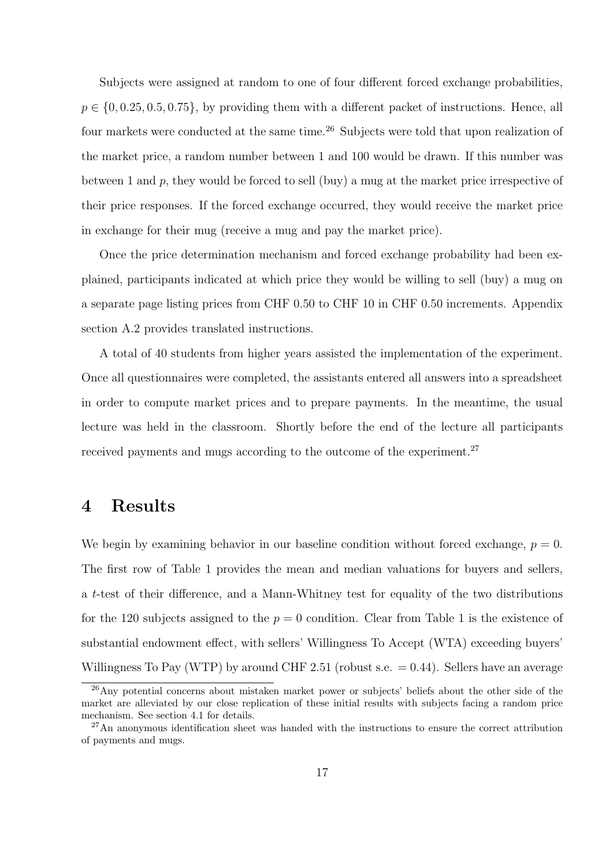Subjects were assigned at random to one of four different forced exchange probabilities, *p* ∈ {0,0.25, 0.5, 0.75}, by providing them with a different packet of instructions. Hence, all four markets were conducted at the same time.<sup>26</sup> Subjects were told that upon realization of the market price, a random number between 1 and 100 would be drawn. If this number was between 1 and *p*, they would be forced to sell (buy) a mug at the market price irrespective of their price responses. If the forced exchange occurred, they would receive the market price in exchange for their mug (receive a mug and pay the market price).

Once the price determination mechanism and forced exchange probability had been explained, participants indicated at which price they would be willing to sell (buy) a mug on a separate page listing prices from CHF 0.50 to CHF 10 in CHF 0.50 increments. Appendix section A.2 provides translated instructions.

A total of 40 students from higher years assisted the implementation of the experiment. Once all questionnaires were completed, the assistants entered all answers into a spreadsheet in order to compute market prices and to prepare payments. In the meantime, the usual lecture was held in the classroom. Shortly before the end of the lecture all participants received payments and mugs according to the outcome of the experiment.<sup>27</sup>

# **4 Results**

We begin by examining behavior in our baseline condition without forced exchange,  $p = 0$ . The first row of Table 1 provides the mean and median valuations for buyers and sellers, a *t*-test of their difference, and a Mann-Whitney test for equality of the two distributions for the 120 subjects assigned to the  $p = 0$  condition. Clear from Table 1 is the existence of substantial endowment effect, with sellers' Willingness To Accept (WTA) exceeding buyers' Willingness To Pay (WTP) by around CHF 2.51 (robust s.e.  $= 0.44$ ). Sellers have an average

 $^{26}$ Any potential concerns about mistaken market power or subjects' beliefs about the other side of the market are alleviated by our close replication of these initial results with subjects facing a random price mechanism. See section 4.1 for details.

<sup>27</sup>An anonymous identification sheet was handed with the instructions to ensure the correct attribution of payments and mugs.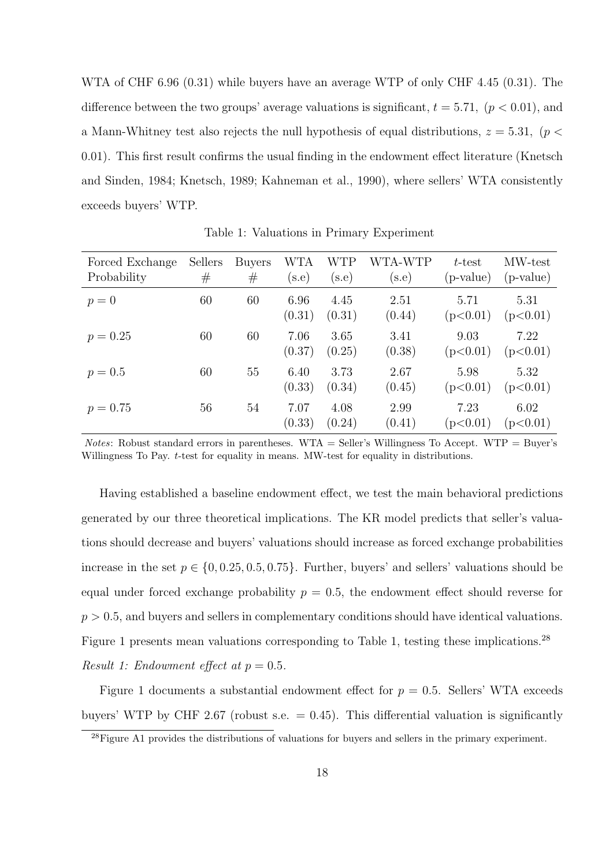WTA of CHF 6.96 (0.31) while buyers have an average WTP of only CHF 4.45 (0.31). The difference between the two groups' average valuations is significant,  $t = 5.71$ ,  $(p < 0.01)$ , and a Mann-Whitney test also rejects the null hypothesis of equal distributions, *z* = 5*.*31*,* (*p <* 0*.*01). This first result confirms the usual finding in the endowment effect literature (Knetsch and Sinden, 1984; Knetsch, 1989; Kahneman et al., 1990), where sellers' WTA consistently exceeds buyers' WTP.

| Forced Exchange<br>Probability | Sellers<br># | <b>Buyers</b><br># | WTA<br>$(\mathrm{s.e})$ | WTP<br>(s.e)   | WTA-WTP<br>(s.e) | t-test<br>(p-value) | MW-test<br>(p-value) |
|--------------------------------|--------------|--------------------|-------------------------|----------------|------------------|---------------------|----------------------|
| $p=0$                          | 60           | 60                 | 6.96<br>(0.31)          | 4.45<br>(0.31) | 2.51<br>(0.44)   | 5.71<br>(p<0.01)    | 5.31<br>(p<0.01)     |
| $p = 0.25$                     | 60           | 60                 | 7.06<br>(0.37)          | 3.65<br>(0.25) | 3.41<br>(0.38)   | 9.03<br>(p<0.01)    | 7.22<br>(p<0.01)     |
| $p = 0.5$                      | 60           | 55                 | 6.40<br>(0.33)          | 3.73<br>(0.34) | 2.67<br>(0.45)   | 5.98<br>(p<0.01)    | 5.32<br>(p<0.01)     |
| $p = 0.75$                     | 56           | 54                 | 7.07<br>(0.33)          | 4.08<br>(0.24) | 2.99<br>(0.41)   | 7.23<br>(p<0.01)    | 6.02<br>(p<0.01)     |

Table 1: Valuations in Primary Experiment

*Notes*: Robust standard errors in parentheses. WTA = Seller's Willingness To Accept. WTP = Buyer's Willingness To Pay. *t*-test for equality in means. MW-test for equality in distributions.

Having established a baseline endowment effect, we test the main behavioral predictions generated by our three theoretical implications. The KR model predicts that seller's valuations should decrease and buyers' valuations should increase as forced exchange probabilities increase in the set  $p \in \{0, 0.25, 0.5, 0.75\}$ . Further, buyers' and sellers' valuations should be equal under forced exchange probability  $p = 0.5$ , the endowment effect should reverse for  $p > 0.5$ , and buyers and sellers in complementary conditions should have identical valuations. Figure 1 presents mean valuations corresponding to Table 1, testing these implications.<sup>28</sup> *Result 1: Endowment effect at*  $p = 0.5$ *.* 

Figure 1 documents a substantial endowment effect for  $p = 0.5$ . Sellers' WTA exceeds buyers' WTP by CHF 2.67 (robust s.e.  $= 0.45$ ). This differential valuation is significantly

 $^{28}$ Figure A1 provides the distributions of valuations for buyers and sellers in the primary experiment.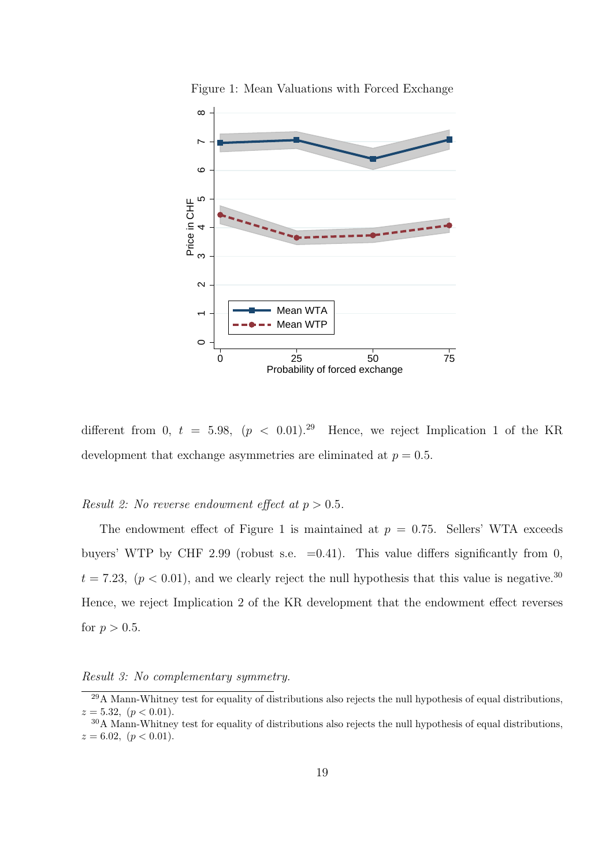

Figure 1: Mean Valuations with Forced Exchange

different from 0,  $t = 5.98$ ,  $(p < 0.01)$ .<sup>29</sup> Hence, we reject Implication 1 of the KR development that exchange asymmetries are eliminated at  $p = 0.5$ .

### *Result 2: No reverse endowment effect at*  $p > 0.5$ *.*

The endowment effect of Figure 1 is maintained at  $p = 0.75$ . Sellers' WTA exceeds buyers' WTP by CHF 2.99 (robust s.e.  $=0.41$ ). This value differs significantly from 0,  $t = 7.23$ ,  $(p < 0.01)$ , and we clearly reject the null hypothesis that this value is negative.<sup>30</sup> Hence, we reject Implication 2 of the KR development that the endowment effect reverses for  $p > 0.5$ .

*Result 3: No complementary symmetry.*

<sup>&</sup>lt;sup>29</sup>A Mann-Whitney test for equality of distributions also rejects the null hypothesis of equal distributions,  $z = 5.32, (p < 0.01).$ 

<sup>30</sup>A Mann-Whitney test for equality of distributions also rejects the null hypothesis of equal distributions,  $z = 6.02, (p < 0.01).$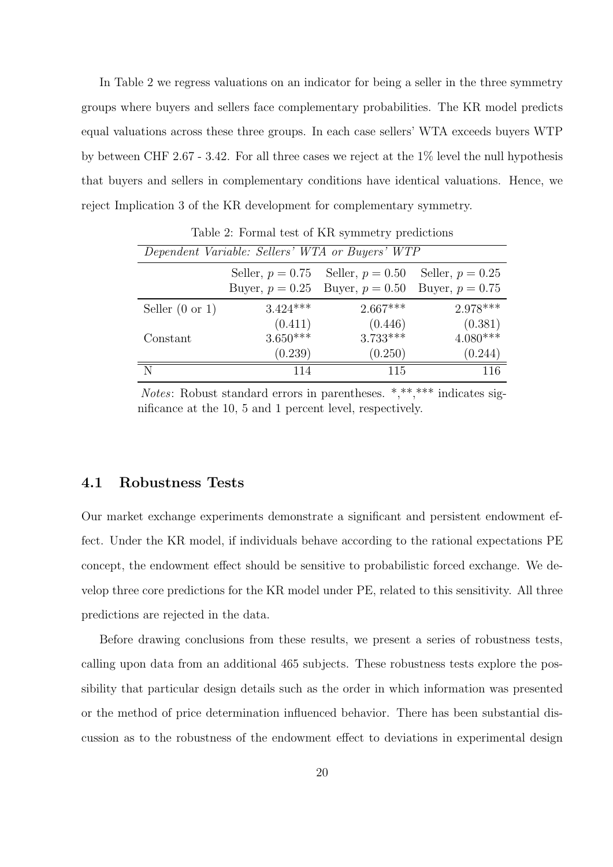In Table 2 we regress valuations on an indicator for being a seller in the three symmetry groups where buyers and sellers face complementary probabilities. The KR model predicts equal valuations across these three groups. In each case sellers' WTA exceeds buyers WTP by between CHF 2.67 - 3.42. For all three cases we reject at the 1% level the null hypothesis that buyers and sellers in complementary conditions have identical valuations. Hence, we reject Implication 3 of the KR development for complementary symmetry.

|                            |                                         | Dependent Variable: Sellers' WTA or Buyers' WTP |                                         |
|----------------------------|-----------------------------------------|-------------------------------------------------|-----------------------------------------|
|                            | Seller, $p = 0.75$<br>Buyer, $p = 0.25$ | Seller, $p = 0.50$<br>Buyer, $p = 0.50$         | Seller, $p = 0.25$<br>Buyer, $p = 0.75$ |
| Seller $(0 \text{ or } 1)$ | $3.424***$                              | $2.667***$                                      | $2.978***$                              |
|                            | (0.411)                                 | (0.446)                                         | (0.381)                                 |
| Constant                   | $3.650***$                              | $3.733***$                                      | $4.080***$                              |
|                            | (0.239)                                 | (0.250)                                         | (0.244)                                 |
|                            | 114                                     | 115                                             | 116                                     |

Table 2: Formal test of KR symmetry predictions

*Notes*: Robust standard errors in parentheses. \*,\*\*,\*\*\* indicates significance at the 10, 5 and 1 percent level, respectively.

### **4.1 Robustness Tests**

Our market exchange experiments demonstrate a significant and persistent endowment effect. Under the KR model, if individuals behave according to the rational expectations PE concept, the endowment effect should be sensitive to probabilistic forced exchange. We develop three core predictions for the KR model under PE, related to this sensitivity. All three predictions are rejected in the data.

Before drawing conclusions from these results, we present a series of robustness tests, calling upon data from an additional 465 subjects. These robustness tests explore the possibility that particular design details such as the order in which information was presented or the method of price determination influenced behavior. There has been substantial discussion as to the robustness of the endowment effect to deviations in experimental design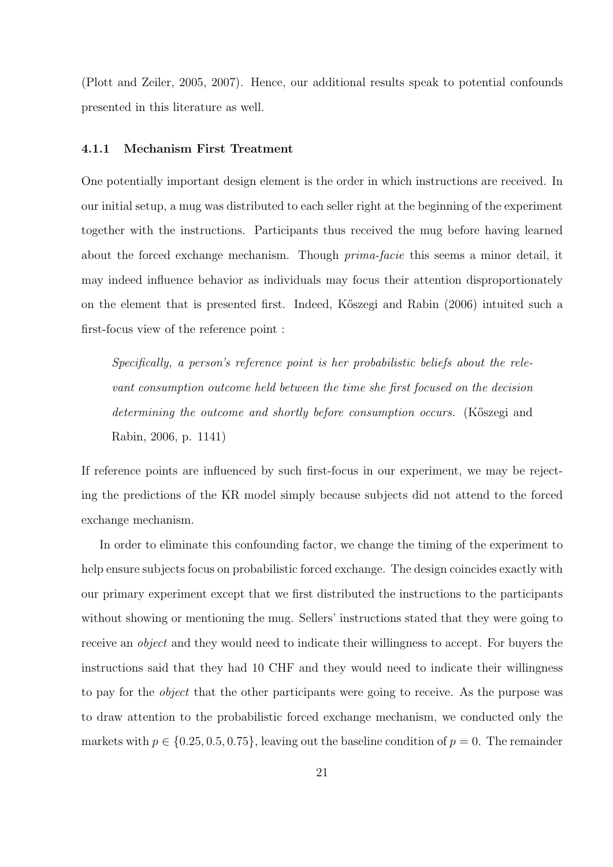(Plott and Zeiler, 2005, 2007). Hence, our additional results speak to potential confounds presented in this literature as well.

#### **4.1.1 Mechanism First Treatment**

One potentially important design element is the order in which instructions are received. In our initial setup, a mug was distributed to each seller right at the beginning of the experiment together with the instructions. Participants thus received the mug before having learned about the forced exchange mechanism. Though *prima-facie* this seems a minor detail, it may indeed influence behavior as individuals may focus their attention disproportionately on the element that is presented first. Indeed, K˝oszegi and Rabin (2006) intuited such a first-focus view of the reference point :

*Specifically, a person's reference point is her probabilistic beliefs about the relevant consumption outcome held between the time she first focused on the decision determining the outcome and shortly before consumption occurs.* (Kőszegi and Rabin, 2006, p. 1141)

If reference points are influenced by such first-focus in our experiment, we may be rejecting the predictions of the KR model simply because subjects did not attend to the forced exchange mechanism.

In order to eliminate this confounding factor, we change the timing of the experiment to help ensure subjects focus on probabilistic forced exchange. The design coincides exactly with our primary experiment except that we first distributed the instructions to the participants without showing or mentioning the mug. Sellers' instructions stated that they were going to receive an *object* and they would need to indicate their willingness to accept. For buyers the instructions said that they had 10 CHF and they would need to indicate their willingness to pay for the *object* that the other participants were going to receive. As the purpose was to draw attention to the probabilistic forced exchange mechanism, we conducted only the markets with  $p \in \{0.25, 0.5, 0.75\}$ , leaving out the baseline condition of  $p = 0$ . The remainder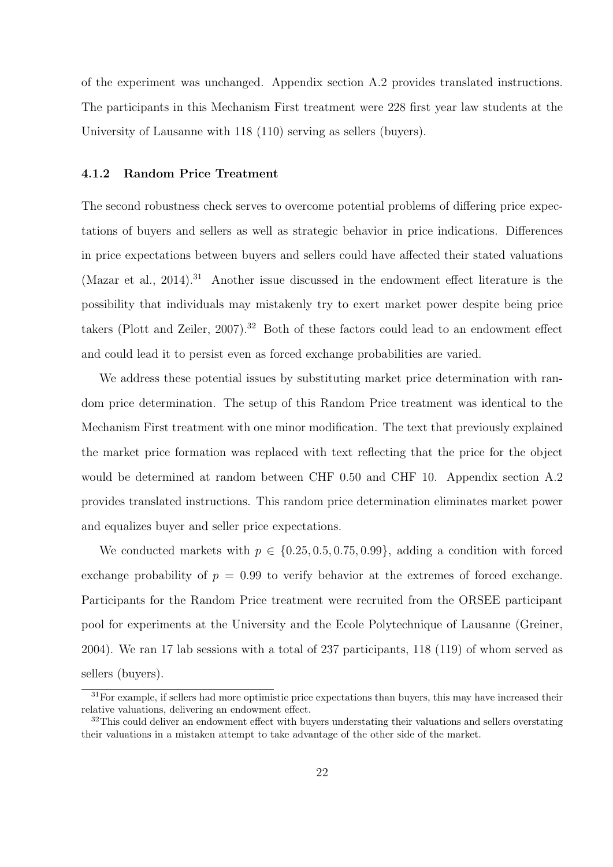of the experiment was unchanged. Appendix section A.2 provides translated instructions. The participants in this Mechanism First treatment were 228 first year law students at the University of Lausanne with 118 (110) serving as sellers (buyers).

### **4.1.2 Random Price Treatment**

The second robustness check serves to overcome potential problems of differing price expectations of buyers and sellers as well as strategic behavior in price indications. Differences in price expectations between buyers and sellers could have affected their stated valuations (Mazar et al., 2014).<sup>31</sup> Another issue discussed in the endowment effect literature is the possibility that individuals may mistakenly try to exert market power despite being price takers (Plott and Zeiler,  $2007$ ).<sup>32</sup> Both of these factors could lead to an endowment effect and could lead it to persist even as forced exchange probabilities are varied.

We address these potential issues by substituting market price determination with random price determination. The setup of this Random Price treatment was identical to the Mechanism First treatment with one minor modification. The text that previously explained the market price formation was replaced with text reflecting that the price for the object would be determined at random between CHF 0.50 and CHF 10. Appendix section A.2 provides translated instructions. This random price determination eliminates market power and equalizes buyer and seller price expectations.

We conducted markets with  $p \in \{0.25, 0.5, 0.75, 0.99\}$ , adding a condition with forced exchange probability of  $p = 0.99$  to verify behavior at the extremes of forced exchange. Participants for the Random Price treatment were recruited from the ORSEE participant pool for experiments at the University and the Ecole Polytechnique of Lausanne (Greiner, 2004). We ran 17 lab sessions with a total of 237 participants, 118 (119) of whom served as sellers (buyers).

 $31$  For example, if sellers had more optimistic price expectations than buyers, this may have increased their relative valuations, delivering an endowment effect.

 $32$ This could deliver an endowment effect with buyers understating their valuations and sellers overstating their valuations in a mistaken attempt to take advantage of the other side of the market.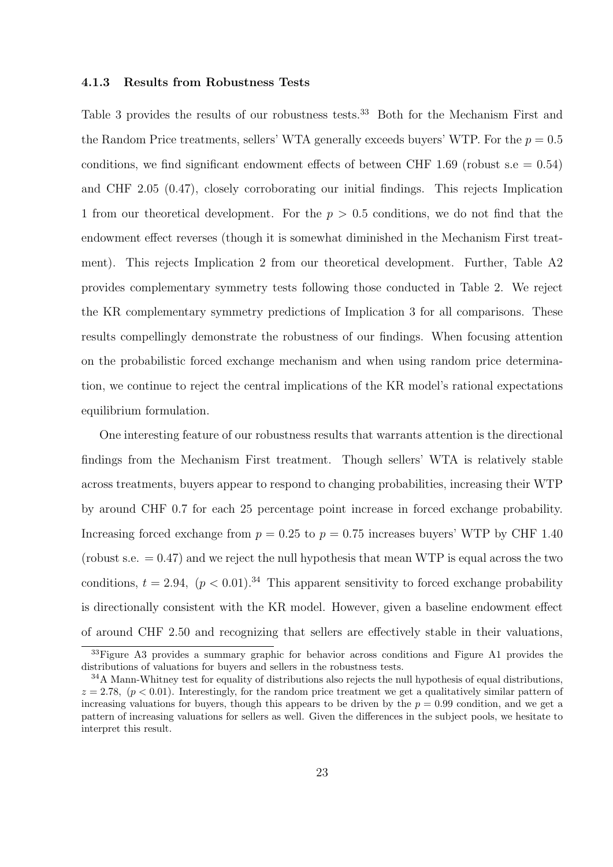#### **4.1.3 Results from Robustness Tests**

Table 3 provides the results of our robustness tests.<sup>33</sup> Both for the Mechanism First and the Random Price treatments, sellers' WTA generally exceeds buyers' WTP. For the  $p = 0.5$ conditions, we find significant endowment effects of between CHF 1.69 (robust s.e  $= 0.54$ ) and CHF 2.05 (0.47), closely corroborating our initial findings. This rejects Implication 1 from our theoretical development. For the *p >* 0*.*5 conditions, we do not find that the endowment effect reverses (though it is somewhat diminished in the Mechanism First treatment). This rejects Implication 2 from our theoretical development. Further, Table A2 provides complementary symmetry tests following those conducted in Table 2. We reject the KR complementary symmetry predictions of Implication 3 for all comparisons. These results compellingly demonstrate the robustness of our findings. When focusing attention on the probabilistic forced exchange mechanism and when using random price determination, we continue to reject the central implications of the KR model's rational expectations equilibrium formulation.

One interesting feature of our robustness results that warrants attention is the directional findings from the Mechanism First treatment. Though sellers' WTA is relatively stable across treatments, buyers appear to respond to changing probabilities, increasing their WTP by around CHF 0.7 for each 25 percentage point increase in forced exchange probability. Increasing forced exchange from  $p = 0.25$  to  $p = 0.75$  increases buyers' WTP by CHF 1.40 (robust s.e.  $= 0.47$ ) and we reject the null hypothesis that mean WTP is equal across the two conditions,  $t = 2.94$ ,  $(p < 0.01)$ .<sup>34</sup> This apparent sensitivity to forced exchange probability is directionally consistent with the KR model. However, given a baseline endowment effect of around CHF 2.50 and recognizing that sellers are effectively stable in their valuations,

<sup>&</sup>lt;sup>33</sup>Figure A3 provides a summary graphic for behavior across conditions and Figure A1 provides the distributions of valuations for buyers and sellers in the robustness tests.

<sup>&</sup>lt;sup>34</sup>A Mann-Whitney test for equality of distributions also rejects the null hypothesis of equal distributions,  $z = 2.78$ ,  $(p < 0.01)$ . Interestingly, for the random price treatment we get a qualitatively similar pattern of increasing valuations for buyers, though this appears to be driven by the  $p = 0.99$  condition, and we get a pattern of increasing valuations for sellers as well. Given the differences in the subject pools, we hesitate to interpret this result.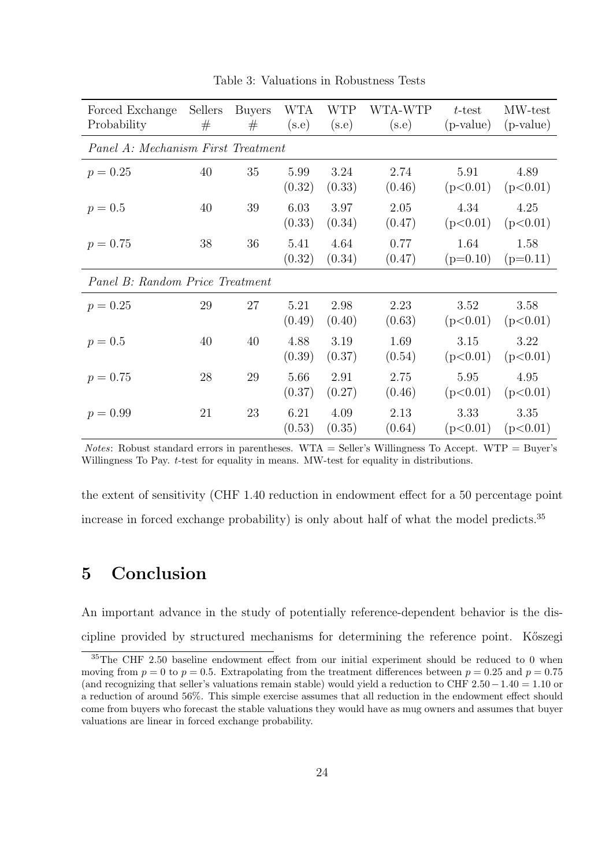| Forced Exchange                    | Sellers | <b>Buyers</b> | WTA    | WTP    | WTA-WTP | $t$ -test   | MW-test     |
|------------------------------------|---------|---------------|--------|--------|---------|-------------|-------------|
| Probability                        | #       | #             | (s.e)  | (s.e)  | (s.e)   | $(p-value)$ | $(p-value)$ |
| Panel A: Mechanism First Treatment |         |               |        |        |         |             |             |
| $p = 0.25$                         | 40      | 35            | 5.99   | 3.24   | 2.74    | 5.91        | 4.89        |
|                                    |         |               | (0.32) | (0.33) | (0.46)  | (p<0.01)    | (p<0.01)    |
| $p = 0.5$                          | 40      | 39            | 6.03   | 3.97   | 2.05    | 4.34        | 4.25        |
|                                    |         |               | (0.33) | (0.34) | (0.47)  | (p<0.01)    | (p<0.01)    |
| $p = 0.75$                         | 38      | 36            | 5.41   | 4.64   | 0.77    | 1.64        | 1.58        |
|                                    |         |               | (0.32) | (0.34) | (0.47)  | $(p=0.10)$  | $(p=0.11)$  |
| Panel B: Random Price Treatment    |         |               |        |        |         |             |             |
| $p = 0.25$                         | 29      | 27            | 5.21   | 2.98   | 2.23    | 3.52        | 3.58        |
|                                    |         |               | (0.49) | (0.40) | (0.63)  | (p<0.01)    | (p<0.01)    |
| $p = 0.5$                          | 40      | 40            | 4.88   | 3.19   | 1.69    | 3.15        | 3.22        |
|                                    |         |               | (0.39) | (0.37) | (0.54)  | (p<0.01)    | (p<0.01)    |
| $p = 0.75$                         | 28      | 29            | 5.66   | 2.91   | 2.75    | 5.95        | 4.95        |
|                                    |         |               | (0.37) | (0.27) | (0.46)  | (p<0.01)    | (p<0.01)    |
| $p = 0.99$                         | 21      | 23            | 6.21   | 4.09   | 2.13    | 3.33        | 3.35        |
|                                    |         |               | (0.53) | (0.35) | (0.64)  | (p<0.01)    | (p<0.01)    |

Table 3: Valuations in Robustness Tests

*Notes*: Robust standard errors in parentheses. WTA = Seller's Willingness To Accept. WTP = Buyer's Willingness To Pay. *t*-test for equality in means. MW-test for equality in distributions.

the extent of sensitivity (CHF 1.40 reduction in endowment effect for a 50 percentage point increase in forced exchange probability) is only about half of what the model predicts.<sup>35</sup>

# **5 Conclusion**

An important advance in the study of potentially reference-dependent behavior is the discipline provided by structured mechanisms for determining the reference point. K<sup>o</sup>szegi

<sup>35</sup>The CHF 2.50 baseline endowment effect from our initial experiment should be reduced to 0 when moving from  $p = 0$  to  $p = 0.5$ . Extrapolating from the treatment differences between  $p = 0.25$  and  $p = 0.75$ (and recognizing that seller's valuations remain stable) would yield a reduction to CHF 2*.*50*−*1*.*40 = 1*.*10 or a reduction of around 56%. This simple exercise assumes that all reduction in the endowment effect should come from buyers who forecast the stable valuations they would have as mug owners and assumes that buyer valuations are linear in forced exchange probability.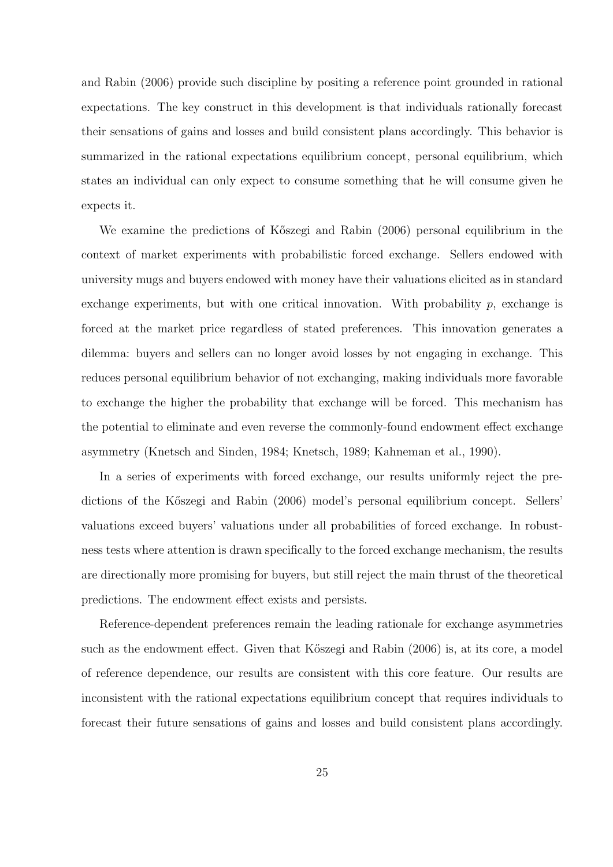and Rabin (2006) provide such discipline by positing a reference point grounded in rational expectations. The key construct in this development is that individuals rationally forecast their sensations of gains and losses and build consistent plans accordingly. This behavior is summarized in the rational expectations equilibrium concept, personal equilibrium, which states an individual can only expect to consume something that he will consume given he expects it.

We examine the predictions of Kőszegi and Rabin (2006) personal equilibrium in the context of market experiments with probabilistic forced exchange. Sellers endowed with university mugs and buyers endowed with money have their valuations elicited as in standard exchange experiments, but with one critical innovation. With probability  $p$ , exchange is forced at the market price regardless of stated preferences. This innovation generates a dilemma: buyers and sellers can no longer avoid losses by not engaging in exchange. This reduces personal equilibrium behavior of not exchanging, making individuals more favorable to exchange the higher the probability that exchange will be forced. This mechanism has the potential to eliminate and even reverse the commonly-found endowment effect exchange asymmetry (Knetsch and Sinden, 1984; Knetsch, 1989; Kahneman et al., 1990).

In a series of experiments with forced exchange, our results uniformly reject the predictions of the K˝oszegi and Rabin (2006) model's personal equilibrium concept. Sellers' valuations exceed buyers' valuations under all probabilities of forced exchange. In robustness tests where attention is drawn specifically to the forced exchange mechanism, the results are directionally more promising for buyers, but still reject the main thrust of the theoretical predictions. The endowment effect exists and persists.

Reference-dependent preferences remain the leading rationale for exchange asymmetries such as the endowment effect. Given that K<sup>"</sup> Sizegi and Rabin (2006) is, at its core, a model of reference dependence, our results are consistent with this core feature. Our results are inconsistent with the rational expectations equilibrium concept that requires individuals to forecast their future sensations of gains and losses and build consistent plans accordingly.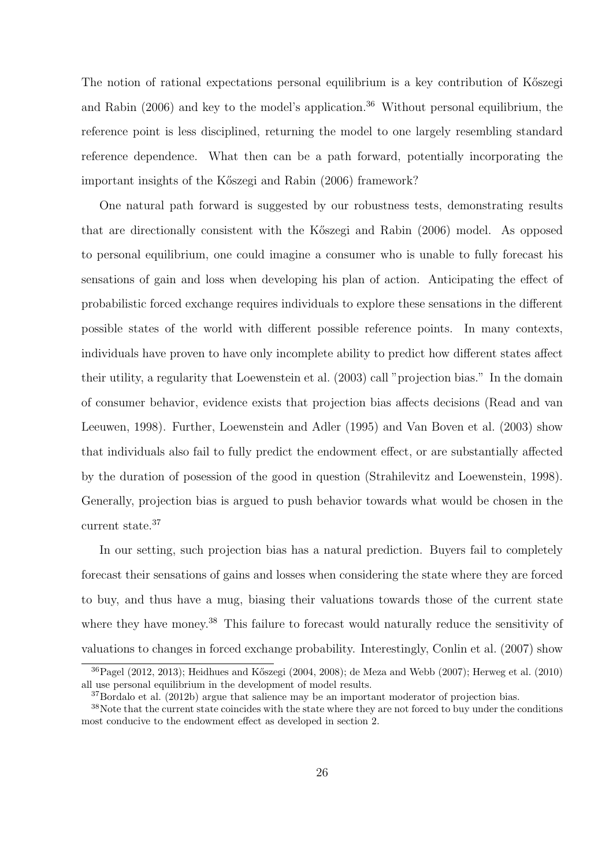The notion of rational expectations personal equilibrium is a key contribution of K<sup>\*\*</sup> and Rabin  $(2006)$  and key to the model's application.<sup>36</sup> Without personal equilibrium, the reference point is less disciplined, returning the model to one largely resembling standard reference dependence. What then can be a path forward, potentially incorporating the important insights of the Kőszegi and Rabin (2006) framework?

One natural path forward is suggested by our robustness tests, demonstrating results that are directionally consistent with the K˝oszegi and Rabin (2006) model. As opposed to personal equilibrium, one could imagine a consumer who is unable to fully forecast his sensations of gain and loss when developing his plan of action. Anticipating the effect of probabilistic forced exchange requires individuals to explore these sensations in the different possible states of the world with different possible reference points. In many contexts, individuals have proven to have only incomplete ability to predict how different states affect their utility, a regularity that Loewenstein et al. (2003) call "projection bias." In the domain of consumer behavior, evidence exists that projection bias affects decisions (Read and van Leeuwen, 1998). Further, Loewenstein and Adler (1995) and Van Boven et al. (2003) show that individuals also fail to fully predict the endowment effect, or are substantially affected by the duration of posession of the good in question (Strahilevitz and Loewenstein, 1998). Generally, projection bias is argued to push behavior towards what would be chosen in the current state.<sup>37</sup>

In our setting, such projection bias has a natural prediction. Buyers fail to completely forecast their sensations of gains and losses when considering the state where they are forced to buy, and thus have a mug, biasing their valuations towards those of the current state where they have money.<sup>38</sup> This failure to forecast would naturally reduce the sensitivity of valuations to changes in forced exchange probability. Interestingly, Conlin et al. (2007) show

 $36P$ agel (2012, 2013); Heidhues and Kőszegi (2004, 2008); de Meza and Webb (2007); Herweg et al. (2010) all use personal equilibrium in the development of model results.

<sup>&</sup>lt;sup>37</sup>Bordalo et al. (2012b) argue that salience may be an important moderator of projection bias.

<sup>&</sup>lt;sup>38</sup>Note that the current state coincides with the state where they are not forced to buy under the conditions most conducive to the endowment effect as developed in section 2.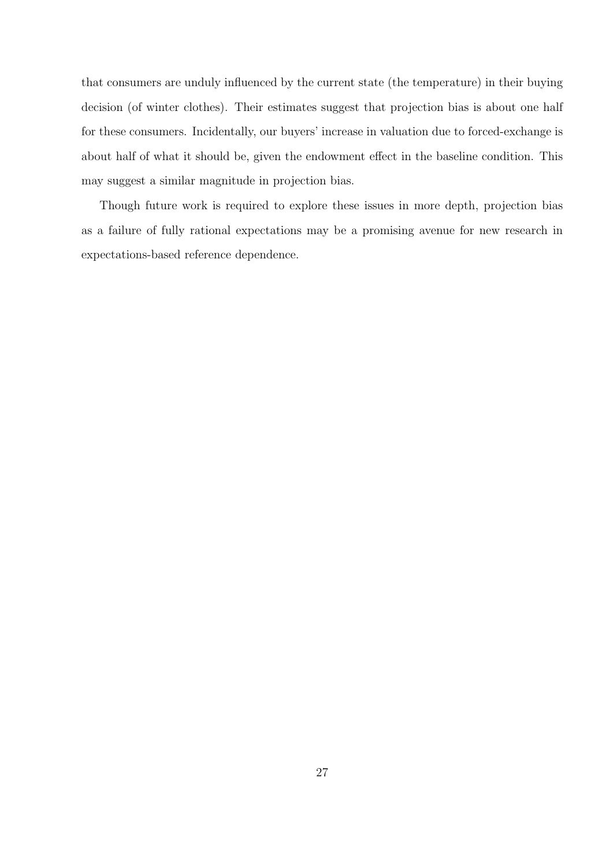that consumers are unduly influenced by the current state (the temperature) in their buying decision (of winter clothes). Their estimates suggest that projection bias is about one half for these consumers. Incidentally, our buyers' increase in valuation due to forced-exchange is about half of what it should be, given the endowment effect in the baseline condition. This may suggest a similar magnitude in projection bias.

Though future work is required to explore these issues in more depth, projection bias as a failure of fully rational expectations may be a promising avenue for new research in expectations-based reference dependence.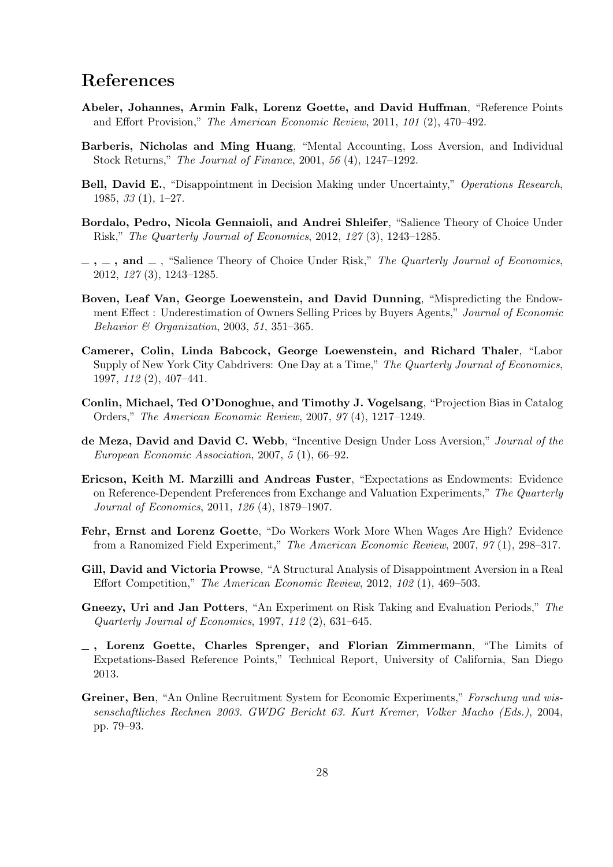# **References**

- **Abeler, Johannes, Armin Falk, Lorenz Goette, and David Huffman**, "Reference Points and Effort Provision," *The American Economic Review*, 2011, *101* (2), 470–492.
- **Barberis, Nicholas and Ming Huang**, "Mental Accounting, Loss Aversion, and Individual Stock Returns," *The Journal of Finance*, 2001, *56* (4), 1247–1292.
- **Bell, David E.**, "Disappointment in Decision Making under Uncertainty," *Operations Research*, 1985, *33* (1), 1–27.
- **Bordalo, Pedro, Nicola Gennaioli, and Andrei Shleifer**, "Salience Theory of Choice Under Risk," *The Quarterly Journal of Economics*, 2012, *127* (3), 1243–1285.
- $\ldots$ , and  $\ldots$ , "Salience Theory of Choice Under Risk," The Quarterly Journal of Economics, 2012, *127* (3), 1243–1285.
- **Boven, Leaf Van, George Loewenstein, and David Dunning**, "Mispredicting the Endowment Effect : Underestimation of Owners Selling Prices by Buyers Agents," *Journal of Economic Behavior & Organization*, 2003, *51*, 351–365.
- **Camerer, Colin, Linda Babcock, George Loewenstein, and Richard Thaler**, "Labor Supply of New York City Cabdrivers: One Day at a Time," *The Quarterly Journal of Economics*, 1997, *112* (2), 407–441.
- **Conlin, Michael, Ted O'Donoghue, and Timothy J. Vogelsang**, "Projection Bias in Catalog Orders," *The American Economic Review*, 2007, *97* (4), 1217–1249.
- **de Meza, David and David C. Webb**, "Incentive Design Under Loss Aversion," *Journal of the European Economic Association*, 2007, *5* (1), 66–92.
- **Ericson, Keith M. Marzilli and Andreas Fuster**, "Expectations as Endowments: Evidence on Reference-Dependent Preferences from Exchange and Valuation Experiments," *The Quarterly Journal of Economics*, 2011, *126* (4), 1879–1907.
- **Fehr, Ernst and Lorenz Goette**, "Do Workers Work More When Wages Are High? Evidence from a Ranomized Field Experiment," *The American Economic Review*, 2007, *97* (1), 298–317.
- **Gill, David and Victoria Prowse**, "A Structural Analysis of Disappointment Aversion in a Real Effort Competition," *The American Economic Review*, 2012, *102* (1), 469–503.
- **Gneezy, Uri and Jan Potters**, "An Experiment on Risk Taking and Evaluation Periods," *The Quarterly Journal of Economics*, 1997, *112* (2), 631–645.
- **, Lorenz Goette, Charles Sprenger, and Florian Zimmermann**, "The Limits of Expetations-Based Reference Points," Technical Report, University of California, San Diego 2013.
- **Greiner, Ben**, "An Online Recruitment System for Economic Experiments," *Forschung und wissenschaftliches Rechnen 2003. GWDG Bericht 63. Kurt Kremer, Volker Macho (Eds.)*, 2004, pp. 79–93.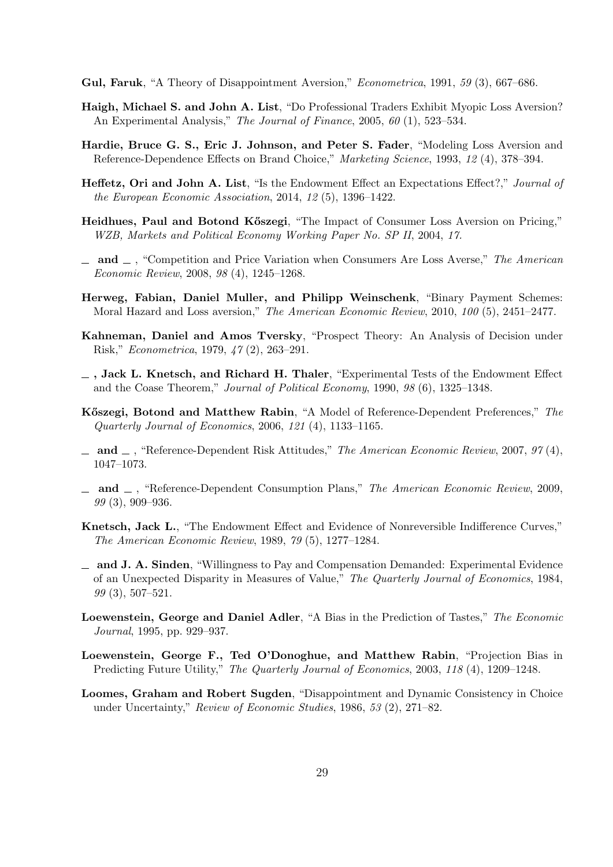- **Gul, Faruk**, "A Theory of Disappointment Aversion," *Econometrica*, 1991, *59* (3), 667–686.
- **Haigh, Michael S. and John A. List**, "Do Professional Traders Exhibit Myopic Loss Aversion? An Experimental Analysis," *The Journal of Finance*, 2005, *60* (1), 523–534.
- **Hardie, Bruce G. S., Eric J. Johnson, and Peter S. Fader**, "Modeling Loss Aversion and Reference-Dependence Effects on Brand Choice," *Marketing Science*, 1993, *12* (4), 378–394.
- **Heffetz, Ori and John A. List**, "Is the Endowment Effect an Expectations Effect?," *Journal of the European Economic Association*, 2014, *12* (5), 1396–1422.
- **Heidhues, Paul and Botond Kőszegi**, "The Impact of Consumer Loss Aversion on Pricing," *WZB, Markets and Political Economy Working Paper No. SP II*, 2004, *17.*
- **and** , "Competition and Price Variation when Consumers Are Loss Averse," *The American Economic Review*, 2008, *98* (4), 1245–1268.
- **Herweg, Fabian, Daniel Muller, and Philipp Weinschenk**, "Binary Payment Schemes: Moral Hazard and Loss aversion," *The American Economic Review*, 2010, *100* (5), 2451–2477.
- **Kahneman, Daniel and Amos Tversky**, "Prospect Theory: An Analysis of Decision under Risk," *Econometrica*, 1979, *47* (2), 263–291.
- **, Jack L. Knetsch, and Richard H. Thaler**, "Experimental Tests of the Endowment Effect and the Coase Theorem," *Journal of Political Economy*, 1990, *98* (6), 1325–1348.
- **K˝oszegi, Botond and Matthew Rabin**, "A Model of Reference-Dependent Preferences," *The Quarterly Journal of Economics*, 2006, *121* (4), 1133–1165.
- **and** , "Reference-Dependent Risk Attitudes," *The American Economic Review*, 2007, *97* (4), 1047–1073.
- **and** , "Reference-Dependent Consumption Plans," *The American Economic Review*, 2009, *99* (3), 909–936.
- **Knetsch, Jack L.**, "The Endowment Effect and Evidence of Nonreversible Indifference Curves," *The American Economic Review*, 1989, *79* (5), 1277–1284.
- **and J. A. Sinden**, "Willingness to Pay and Compensation Demanded: Experimental Evidence of an Unexpected Disparity in Measures of Value," *The Quarterly Journal of Economics*, 1984, *99* (3), 507–521.
- **Loewenstein, George and Daniel Adler**, "A Bias in the Prediction of Tastes," *The Economic Journal*, 1995, pp. 929–937.
- **Loewenstein, George F., Ted O'Donoghue, and Matthew Rabin**, "Projection Bias in Predicting Future Utility," *The Quarterly Journal of Economics*, 2003, *118* (4), 1209–1248.
- **Loomes, Graham and Robert Sugden**, "Disappointment and Dynamic Consistency in Choice under Uncertainty," *Review of Economic Studies*, 1986, *53* (2), 271–82.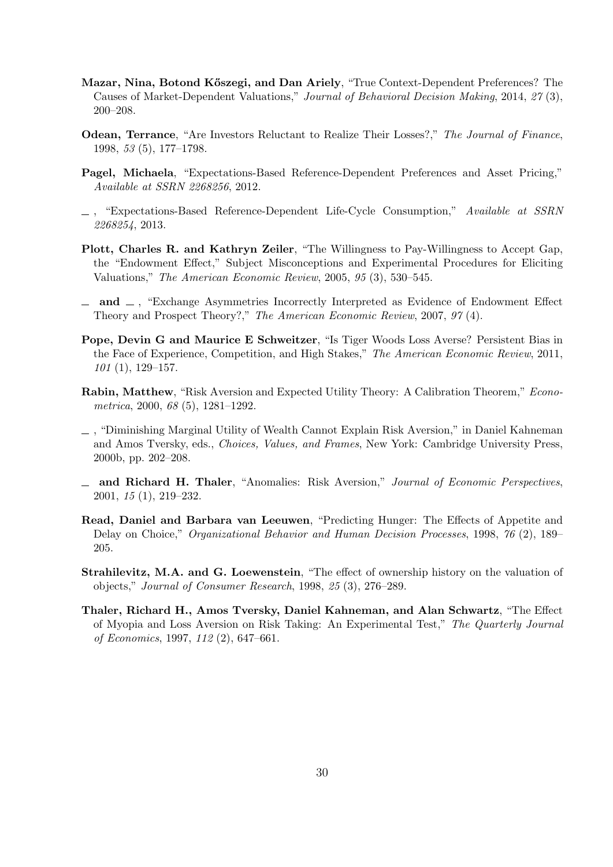- **Mazar, Nina, Botond K˝oszegi, and Dan Ariely**, "True Context-Dependent Preferences? The Causes of Market-Dependent Valuations," *Journal of Behavioral Decision Making*, 2014, *27* (3), 200–208.
- **Odean, Terrance**, "Are Investors Reluctant to Realize Their Losses?," *The Journal of Finance*, 1998, *53* (5), 177–1798.
- **Pagel, Michaela**, "Expectations-Based Reference-Dependent Preferences and Asset Pricing," *Available at SSRN 2268256*, 2012.
- , "Expectations-Based Reference-Dependent Life-Cycle Consumption," *Available at SSRN 2268254*, 2013.
- **Plott, Charles R. and Kathryn Zeiler**, "The Willingness to Pay-Willingness to Accept Gap, the "Endowment Effect," Subject Misconceptions and Experimental Procedures for Eliciting Valuations," *The American Economic Review*, 2005, *95* (3), 530–545.
- **and** , "Exchange Asymmetries Incorrectly Interpreted as Evidence of Endowment Effect Theory and Prospect Theory?," *The American Economic Review*, 2007, *97* (4).
- **Pope, Devin G and Maurice E Schweitzer**, "Is Tiger Woods Loss Averse? Persistent Bias in the Face of Experience, Competition, and High Stakes," *The American Economic Review*, 2011, *101* (1), 129–157.
- **Rabin, Matthew**, "Risk Aversion and Expected Utility Theory: A Calibration Theorem," *Econometrica*, 2000, *68* (5), 1281–1292.
- , "Diminishing Marginal Utility of Wealth Cannot Explain Risk Aversion," in Daniel Kahneman and Amos Tversky, eds., *Choices, Values, and Frames*, New York: Cambridge University Press, 2000b, pp. 202–208.
- **and Richard H. Thaler**, "Anomalies: Risk Aversion," *Journal of Economic Perspectives*, 2001, *15* (1), 219–232.
- **Read, Daniel and Barbara van Leeuwen**, "Predicting Hunger: The Effects of Appetite and Delay on Choice," *Organizational Behavior and Human Decision Processes*, 1998, *76* (2), 189– 205.
- **Strahilevitz, M.A. and G. Loewenstein**, "The effect of ownership history on the valuation of objects," *Journal of Consumer Research*, 1998, *25* (3), 276–289.
- **Thaler, Richard H., Amos Tversky, Daniel Kahneman, and Alan Schwartz**, "The Effect of Myopia and Loss Aversion on Risk Taking: An Experimental Test," *The Quarterly Journal of Economics*, 1997, *112* (2), 647–661.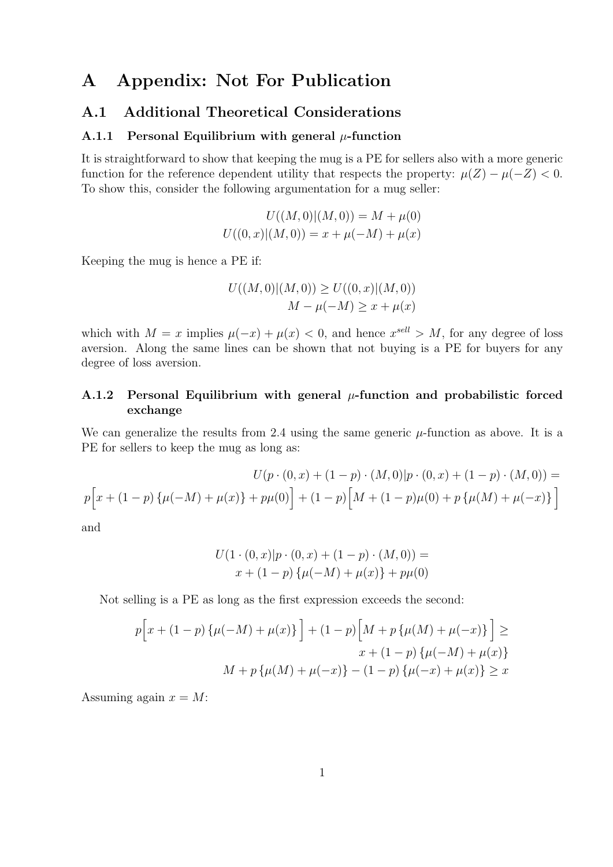# **A Appendix: Not For Publication**

### **A.1 Additional Theoretical Considerations**

### **A.1.1 Personal Equilibrium with general**  $\mu$ **-function**

It is straightforward to show that keeping the mug is a PE for sellers also with a more generic function for the reference dependent utility that respects the property:  $\mu(Z) - \mu(-Z) < 0$ . To show this, consider the following argumentation for a mug seller:

$$
U((M,0)|(M,0)) = M + \mu(0)
$$
  

$$
U((0,x)|(M,0)) = x + \mu(-M) + \mu(x)
$$

Keeping the mug is hence a PE if:

$$
U((M,0)|(M,0)) \ge U((0,x)|(M,0))
$$
  

$$
M - \mu(-M) \ge x + \mu(x)
$$

which with  $M = x$  implies  $\mu(-x) + \mu(x) < 0$ , and hence  $x^{\text{sell}} > M$ , for any degree of loss aversion. Along the same lines can be shown that not buying is a PE for buyers for any degree of loss aversion.

### **A.1.2 Personal Equilibrium with general** *µ***-function and probabilistic forced exchange**

We can generalize the results from 2.4 using the same generic  $\mu$ -function as above. It is a PE for sellers to keep the mug as long as:

$$
U(p \cdot (0, x) + (1 - p) \cdot (M, 0)|p \cdot (0, x) + (1 - p) \cdot (M, 0)) =
$$
  

$$
p\Big[x + (1 - p)\{\mu(-M) + \mu(x)\} + p\mu(0)\Big] + (1 - p)\Big[M + (1 - p)\mu(0) + p\{\mu(M) + \mu(-x)\}\Big]
$$

and

$$
U(1 \cdot (0, x)|p \cdot (0, x) + (1 - p) \cdot (M, 0)) =
$$
  

$$
x + (1 - p) \{\mu(-M) + \mu(x)\} + p\mu(0)
$$

Not selling is a PE as long as the first expression exceeds the second:

$$
p[x + (1 - p) \{\mu(-M) + \mu(x)\}] + (1 - p) [M + p \{\mu(M) + \mu(-x)\}] \ge
$$
  

$$
x + (1 - p) \{\mu(-M) + \mu(x)\}
$$
  

$$
M + p \{\mu(M) + \mu(-x)\} - (1 - p) \{\mu(-x) + \mu(x)\} \ge x
$$

Assuming again  $x = M$ :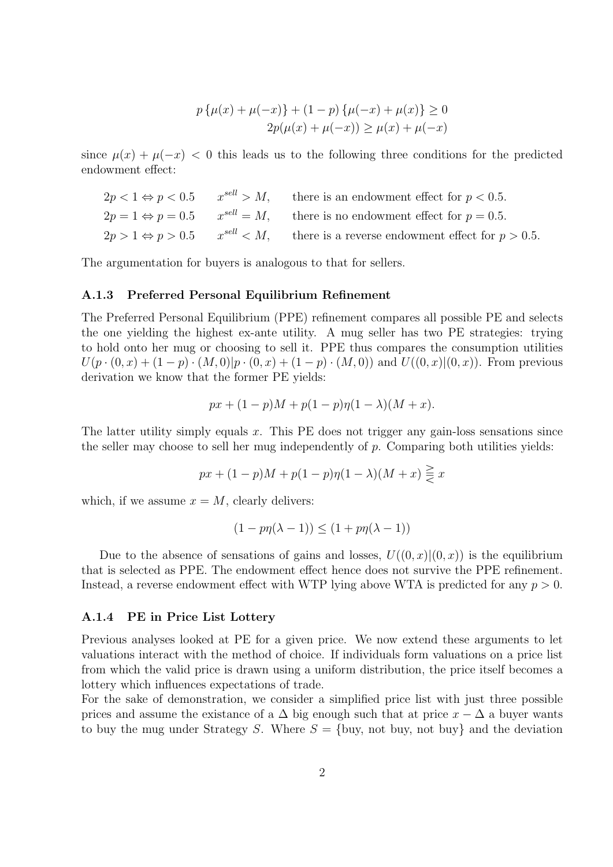$$
p\{\mu(x) + \mu(-x)\} + (1-p)\{\mu(-x) + \mu(x)\} \ge 0
$$
  
2p(\mu(x) + \mu(-x)) \ge \mu(x) + \mu(-x)

since  $\mu(x) + \mu(-x) < 0$  this leads us to the following three conditions for the predicted endowment effect:

$$
2p < 1 \Leftrightarrow p < 0.5 \qquad x^{sell} > M,
$$
 there is an endowment effect for  $p < 0.5$ .  
\n
$$
2p = 1 \Leftrightarrow p = 0.5 \qquad x^{sell} = M,
$$
 there is no endowment effect for  $p = 0.5$ .  
\n
$$
2p > 1 \Leftrightarrow p > 0.5 \qquad x^{sell} < M,
$$
 there is a reverse endowment effect for  $p > 0.5$ .

The argumentation for buyers is analogous to that for sellers.

#### **A.1.3 Preferred Personal Equilibrium Refinement**

The Preferred Personal Equilibrium (PPE) refinement compares all possible PE and selects the one yielding the highest ex-ante utility. A mug seller has two PE strategies: trying to hold onto her mug or choosing to sell it. PPE thus compares the consumption utilities  $U(p \cdot (0, x) + (1-p) \cdot (M, 0)|p \cdot (0, x) + (1-p) \cdot (M, 0))$  and  $U((0, x)|(0, x))$ . From previous derivation we know that the former PE yields:

$$
px + (1 - p)M + p(1 - p)\eta(1 - \lambda)(M + x).
$$

The latter utility simply equals *x*. This PE does not trigger any gain-loss sensations since the seller may choose to sell her mug independently of *p*. Comparing both utilities yields:

$$
px + (1 - p)M + p(1 - p)\eta(1 - \lambda)(M + x) \leqq x
$$

which, if we assume  $x = M$ , clearly delivers:

$$
(1 - p\eta(\lambda - 1)) \le (1 + p\eta(\lambda - 1))
$$

Due to the absence of sensations of gains and losses,  $U((0, x)|(0, x))$  is the equilibrium that is selected as PPE. The endowment effect hence does not survive the PPE refinement. Instead, a reverse endowment effect with WTP lying above WTA is predicted for any *p >* 0.

#### **A.1.4 PE in Price List Lottery**

Previous analyses looked at PE for a given price. We now extend these arguments to let valuations interact with the method of choice. If individuals form valuations on a price list from which the valid price is drawn using a uniform distribution, the price itself becomes a lottery which influences expectations of trade.

For the sake of demonstration, we consider a simplified price list with just three possible prices and assume the existance of a  $\Delta$  big enough such that at price  $x - \Delta$  a buyer wants to buy the mug under Strategy *S*. Where *S* = *{*buy, not buy, not buy*}* and the deviation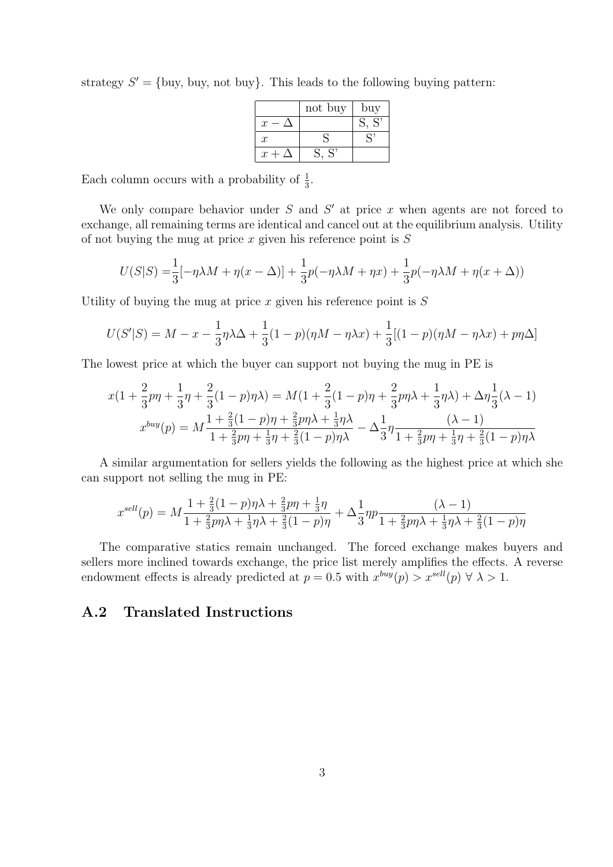strategy  $S' = \{buy, buy, not buy\}$ . This leads to the following buying pattern:

|                  | not buy            | buy |
|------------------|--------------------|-----|
| $\mathcal{X}$    |                    | S'  |
| $\boldsymbol{x}$ |                    |     |
| $x +$            | $\mathbf{C}$<br>S, |     |

Each column occurs with a probability of  $\frac{1}{3}$ .

We only compare behavior under *S* and *S ′* at price *x* when agents are not forced to exchange, all remaining terms are identical and cancel out at the equilibrium analysis. Utility of not buying the mug at price *x* given his reference point is *S*

$$
U(S|S) = \frac{1}{3}[-\eta\lambda M + \eta(x - \Delta)] + \frac{1}{3}p(-\eta\lambda M + \eta x) + \frac{1}{3}p(-\eta\lambda M + \eta(x + \Delta))
$$

Utility of buying the mug at price *x* given his reference point is *S*

$$
U(S'|S) = M - x - \frac{1}{3}\eta\lambda\Delta + \frac{1}{3}(1 - p)(\eta M - \eta\lambda x) + \frac{1}{3}[(1 - p)(\eta M - \eta\lambda x) + p\eta\Delta]
$$

The lowest price at which the buyer can support not buying the mug in PE is

$$
x(1 + \frac{2}{3}p\eta + \frac{1}{3}\eta + \frac{2}{3}(1 - p)\eta\lambda) = M(1 + \frac{2}{3}(1 - p)\eta + \frac{2}{3}p\eta\lambda + \frac{1}{3}\eta\lambda) + \Delta\eta\frac{1}{3}(\lambda - 1)
$$
  

$$
x^{buy}(p) = M\frac{1 + \frac{2}{3}(1 - p)\eta + \frac{2}{3}p\eta\lambda + \frac{1}{3}\eta\lambda}{1 + \frac{2}{3}p\eta + \frac{1}{3}\eta + \frac{2}{3}(1 - p)\eta\lambda} - \Delta\frac{1}{3}\eta\frac{(\lambda - 1)}{1 + \frac{2}{3}p\eta + \frac{1}{3}\eta + \frac{2}{3}(1 - p)\eta\lambda}
$$

A similar argumentation for sellers yields the following as the highest price at which she can support not selling the mug in PE:

$$
x^{sell}(p) = M \frac{1 + \frac{2}{3}(1 - p)\eta\lambda + \frac{2}{3}p\eta + \frac{1}{3}\eta}{1 + \frac{2}{3}p\eta\lambda + \frac{1}{3}\eta\lambda + \frac{2}{3}(1 - p)\eta} + \Delta \frac{1}{3}\eta p \frac{(\lambda - 1)}{1 + \frac{2}{3}p\eta\lambda + \frac{1}{3}\eta\lambda + \frac{2}{3}(1 - p)\eta}
$$

The comparative statics remain unchanged. The forced exchange makes buyers and sellers more inclined towards exchange, the price list merely amplifies the effects. A reverse endowment effects is already predicted at  $p = 0.5$  with  $x^{buy}(p) > x^{sell}(p) \forall \lambda > 1$ .

### **A.2 Translated Instructions**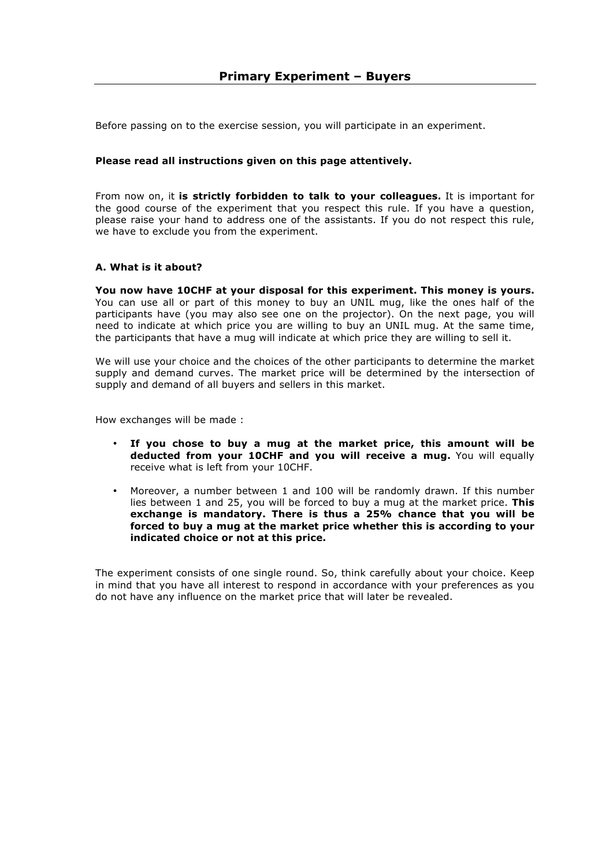Before passing on to the exercise session, you will participate in an experiment.

### **Please read all instructions given on this page attentively.**

From now on, it **is strictly forbidden to talk to your colleagues.** It is important for the good course of the experiment that you respect this rule. If you have a question, please raise your hand to address one of the assistants. If you do not respect this rule, we have to exclude you from the experiment.

### **A. What is it about?**

**You now have 10CHF at your disposal for this experiment. This money is yours.**  You can use all or part of this money to buy an UNIL mug, like the ones half of the participants have (you may also see one on the projector). On the next page, you will need to indicate at which price you are willing to buy an UNIL mug. At the same time, the participants that have a mug will indicate at which price they are willing to sell it.

We will use your choice and the choices of the other participants to determine the market supply and demand curves. The market price will be determined by the intersection of supply and demand of all buyers and sellers in this market.

How exchanges will be made :

- **If you chose to buy a mug at the market price, this amount will be deducted from your 10CHF and you will receive a mug.** You will equally receive what is left from your 10CHF.
- Moreover, a number between 1 and 100 will be randomly drawn. If this number lies between 1 and 25, you will be forced to buy a mug at the market price. **This exchange is mandatory. There is thus a 25% chance that you will be forced to buy a mug at the market price whether this is according to your indicated choice or not at this price.**

The experiment consists of one single round. So, think carefully about your choice. Keep in mind that you have all interest to respond in accordance with your preferences as you do not have any influence on the market price that will later be revealed.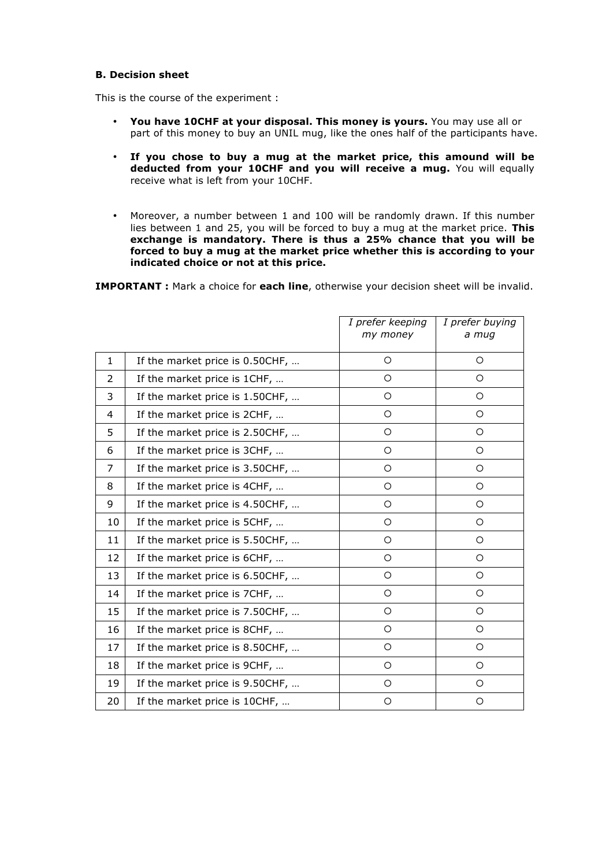### **B. Decision sheet**

This is the course of the experiment :

- **You have 10CHF at your disposal. This money is yours.** You may use all or part of this money to buy an UNIL mug, like the ones half of the participants have.
- **If you chose to buy a mug at the market price, this amound will be deducted from your 10CHF and you will receive a mug.** You will equally receive what is left from your 10CHF.
- Moreover, a number between 1 and 100 will be randomly drawn. If this number lies between 1 and 25, you will be forced to buy a mug at the market price. **This exchange is mandatory. There is thus a 25% chance that you will be forced to buy a mug at the market price whether this is according to your indicated choice or not at this price.**

**IMPORTANT :** Mark a choice for **each line**, otherwise your decision sheet will be invalid.

|              |                                 | I prefer keeping<br>my money | I prefer buying<br>a mug |
|--------------|---------------------------------|------------------------------|--------------------------|
|              |                                 |                              |                          |
| $\mathbf{1}$ | If the market price is 0.50CHF, | $\circ$                      | $\circ$                  |
| 2            | If the market price is 1CHF,    | $\circ$                      | $\circ$                  |
| 3            | If the market price is 1.50CHF, | $\circ$                      | $\circ$                  |
| 4            | If the market price is 2CHF,    | $\circ$                      | $\circ$                  |
| 5            | If the market price is 2.50CHF, | $\circ$                      | $\circ$                  |
| 6            | If the market price is 3CHF,    | $\circ$                      | $\circ$                  |
| 7            | If the market price is 3.50CHF, | $\circ$                      | $\circ$                  |
| 8            | If the market price is 4CHF,    | $\circ$                      | $\circ$                  |
| 9            | If the market price is 4.50CHF, | $\circ$                      | $\circ$                  |
| 10           | If the market price is 5CHF,    | $\circ$                      | $\circ$                  |
| 11           | If the market price is 5.50CHF, | $\circ$                      | $\circ$                  |
| 12           | If the market price is 6CHF,    | $\circ$                      | $\circ$                  |
| 13           | If the market price is 6.50CHF, | $\circ$                      | $\circ$                  |
| 14           | If the market price is 7CHF,    | $\circ$                      | $\circ$                  |
| 15           | If the market price is 7.50CHF, | $\circ$                      | $\circ$                  |
| 16           | If the market price is 8CHF,    | $\circ$                      | $\circ$                  |
| 17           | If the market price is 8.50CHF, | $\circ$                      | $\circ$                  |
| 18           | If the market price is 9CHF,    | $\circ$                      | $\circ$                  |
| 19           | If the market price is 9.50CHF, | $\circ$                      | $\circ$                  |
| 20           | If the market price is 10CHF,   | $\circ$                      | $\circ$                  |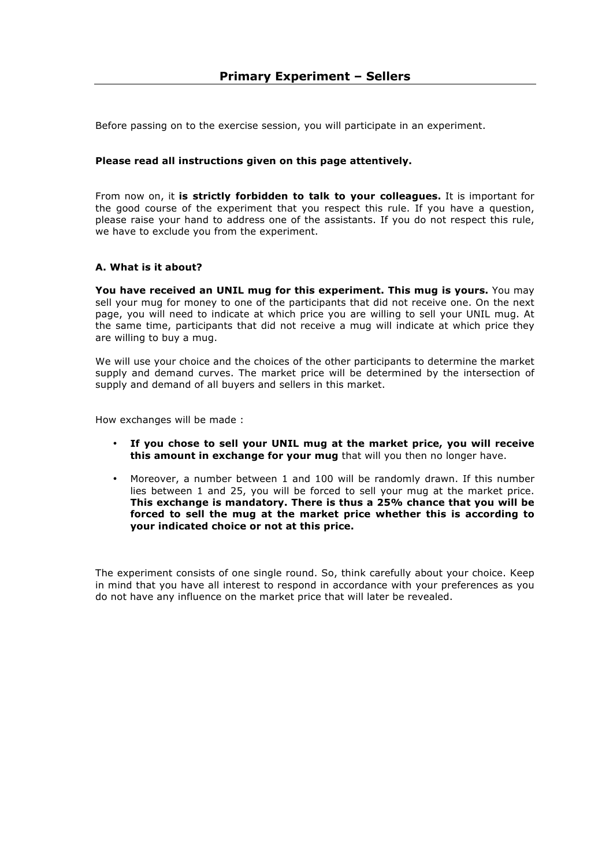Before passing on to the exercise session, you will participate in an experiment.

### **Please read all instructions given on this page attentively.**

From now on, it **is strictly forbidden to talk to your colleagues.** It is important for the good course of the experiment that you respect this rule. If you have a question, please raise your hand to address one of the assistants. If you do not respect this rule, we have to exclude you from the experiment.

#### **A. What is it about?**

**You have received an UNIL mug for this experiment. This mug is yours.** You may sell your mug for money to one of the participants that did not receive one. On the next page, you will need to indicate at which price you are willing to sell your UNIL mug. At the same time, participants that did not receive a mug will indicate at which price they are willing to buy a mug.

We will use your choice and the choices of the other participants to determine the market supply and demand curves. The market price will be determined by the intersection of supply and demand of all buyers and sellers in this market.

How exchanges will be made :

- **If you chose to sell your UNIL mug at the market price, you will receive this amount in exchange for your mug** that will you then no longer have.
- Moreover, a number between 1 and 100 will be randomly drawn. If this number lies between 1 and 25, you will be forced to sell your mug at the market price. **This exchange is mandatory. There is thus a 25% chance that you will be forced to sell the mug at the market price whether this is according to your indicated choice or not at this price.**

The experiment consists of one single round. So, think carefully about your choice. Keep in mind that you have all interest to respond in accordance with your preferences as you do not have any influence on the market price that will later be revealed.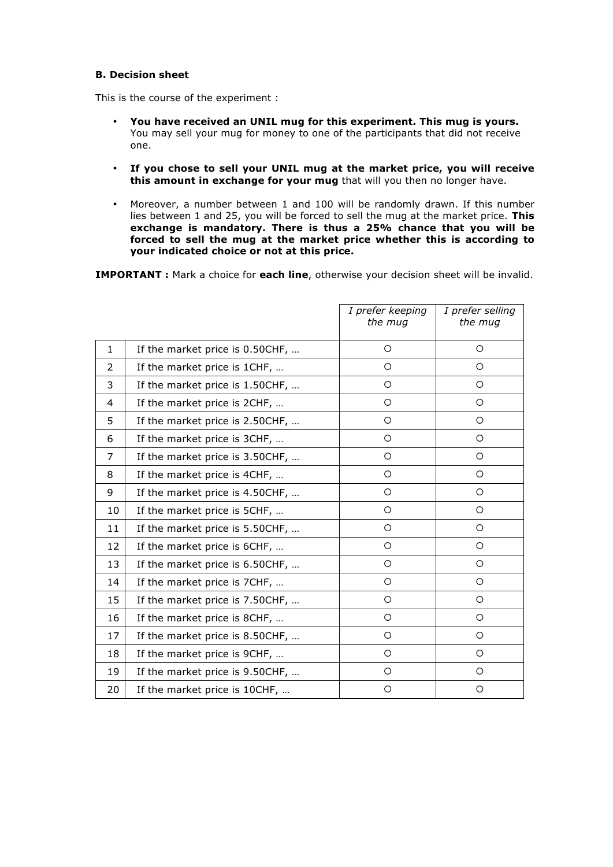### **B. Decision sheet**

This is the course of the experiment :

- **You have received an UNIL mug for this experiment. This mug is yours.**  You may sell your mug for money to one of the participants that did not receive one.
- **If you chose to sell your UNIL mug at the market price, you will receive this amount in exchange for your mug** that will you then no longer have.
- Moreover, a number between 1 and 100 will be randomly drawn. If this number lies between 1 and 25, you will be forced to sell the mug at the market price. **This exchange is mandatory. There is thus a 25% chance that you will be forced to sell the mug at the market price whether this is according to your indicated choice or not at this price.**

**IMPORTANT :** Mark a choice for **each line**, otherwise your decision sheet will be invalid.

|                |                                 | I prefer keeping<br>the mug | I prefer selling<br>the mug |
|----------------|---------------------------------|-----------------------------|-----------------------------|
| $\mathbf{1}$   | If the market price is 0.50CHF, | $\circ$                     | $\circ$                     |
| 2              | If the market price is 1CHF,    | $\circ$                     | $\circ$                     |
| 3              | If the market price is 1.50CHF, | $\circ$                     | $\circ$                     |
| $\overline{4}$ | If the market price is 2CHF,    | $\circ$                     | $\circ$                     |
| 5              | If the market price is 2.50CHF, | $\circ$                     | $\circ$                     |
| 6              | If the market price is 3CHF,    | $\circ$                     | $\circ$                     |
| 7              | If the market price is 3.50CHF, | $\circ$                     | $\circ$                     |
| 8              | If the market price is 4CHF,    | $\circ$                     | $\circ$                     |
| 9              | If the market price is 4.50CHF, | O                           | $\circ$                     |
| 10             | If the market price is 5CHF,    | $\circ$                     | $\circ$                     |
| 11             | If the market price is 5.50CHF, | $\circ$                     | $\circ$                     |
| 12             | If the market price is 6CHF,    | $\circ$                     | $\circ$                     |
| 13             | If the market price is 6.50CHF, | $\circ$                     | $\circ$                     |
| 14             | If the market price is 7CHF,    | $\circ$                     | $\circ$                     |
| 15             | If the market price is 7.50CHF, | $\circ$                     | $\circ$                     |
| 16             | If the market price is 8CHF,    | $\circ$                     | $\circ$                     |
| 17             | If the market price is 8.50CHF, | O                           | O                           |
| 18             | If the market price is 9CHF,    | $\circ$                     | $\circ$                     |
| 19             | If the market price is 9.50CHF, | O                           | $\circ$                     |
| 20             | If the market price is 10CHF,   | $\circ$                     | $\circ$                     |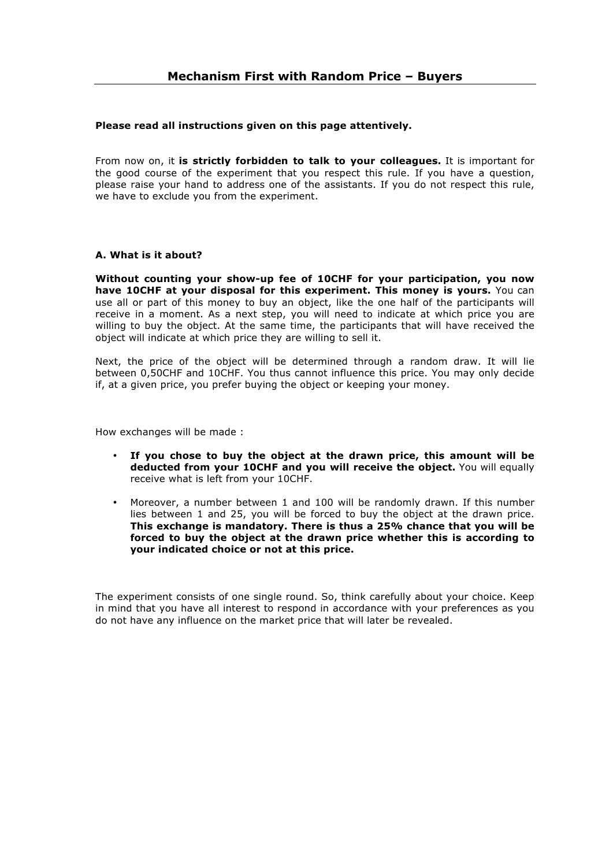#### **Please read all instructions given on this page attentively.**

From now on, it **is strictly forbidden to talk to your colleagues.** It is important for the good course of the experiment that you respect this rule. If you have a question, please raise your hand to address one of the assistants. If you do not respect this rule, we have to exclude you from the experiment.

#### **A. What is it about?**

**Without counting your show-up fee of 10CHF for your participation, you now have 10CHF at your disposal for this experiment. This money is yours.** You can use all or part of this money to buy an object, like the one half of the participants will receive in a moment. As a next step, you will need to indicate at which price you are willing to buy the object. At the same time, the participants that will have received the object will indicate at which price they are willing to sell it.

Next, the price of the object will be determined through a random draw. It will lie between 0,50CHF and 10CHF. You thus cannot influence this price. You may only decide if, at a given price, you prefer buying the object or keeping your money.

How exchanges will be made :

- **If you chose to buy the object at the drawn price, this amount will be deducted from your 10CHF and you will receive the object.** You will equally receive what is left from your 10CHF.
- Moreover, a number between 1 and 100 will be randomly drawn. If this number lies between 1 and 25, you will be forced to buy the object at the drawn price. **This exchange is mandatory. There is thus a 25% chance that you will be forced to buy the object at the drawn price whether this is according to your indicated choice or not at this price.**

The experiment consists of one single round. So, think carefully about your choice. Keep in mind that you have all interest to respond in accordance with your preferences as you do not have any influence on the market price that will later be revealed.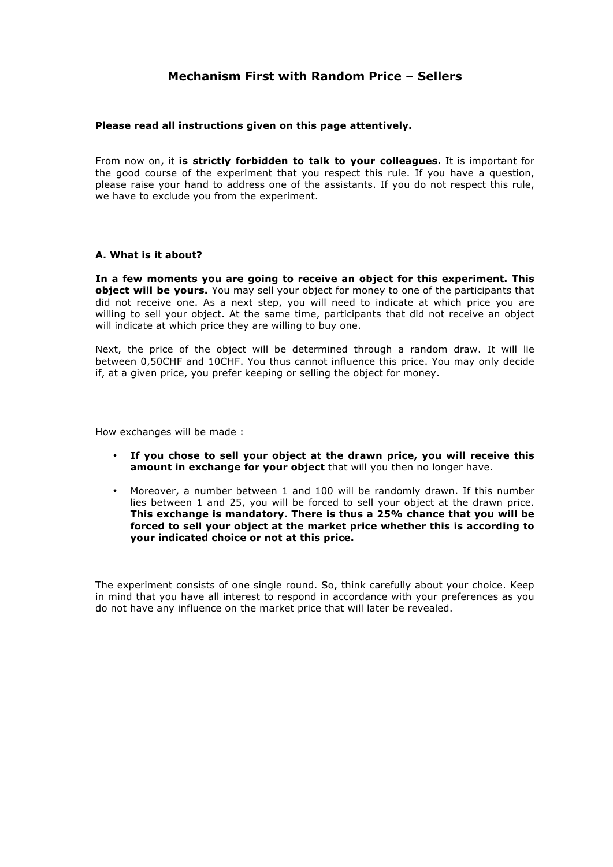#### **Please read all instructions given on this page attentively.**

From now on, it **is strictly forbidden to talk to your colleagues.** It is important for the good course of the experiment that you respect this rule. If you have a question, please raise your hand to address one of the assistants. If you do not respect this rule, we have to exclude you from the experiment.

#### **A. What is it about?**

**In a few moments you are going to receive an object for this experiment. This object will be yours.** You may sell your object for money to one of the participants that did not receive one. As a next step, you will need to indicate at which price you are willing to sell your object. At the same time, participants that did not receive an object will indicate at which price they are willing to buy one.

Next, the price of the object will be determined through a random draw. It will lie between 0,50CHF and 10CHF. You thus cannot influence this price. You may only decide if, at a given price, you prefer keeping or selling the object for money.

How exchanges will be made :

- **If you chose to sell your object at the drawn price, you will receive this amount in exchange for your object** that will you then no longer have.
- Moreover, a number between 1 and 100 will be randomly drawn. If this number lies between 1 and 25, you will be forced to sell your object at the drawn price. **This exchange is mandatory. There is thus a 25% chance that you will be forced to sell your object at the market price whether this is according to your indicated choice or not at this price.**

The experiment consists of one single round. So, think carefully about your choice. Keep in mind that you have all interest to respond in accordance with your preferences as you do not have any influence on the market price that will later be revealed.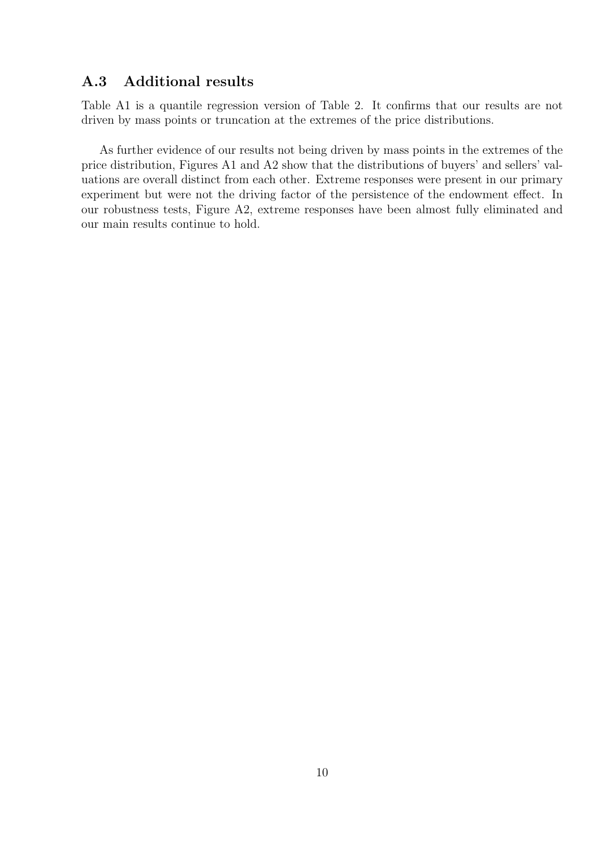### **A.3 Additional results**

Table A1 is a quantile regression version of Table 2. It confirms that our results are not driven by mass points or truncation at the extremes of the price distributions.

As further evidence of our results not being driven by mass points in the extremes of the price distribution, Figures A1 and A2 show that the distributions of buyers' and sellers' valuations are overall distinct from each other. Extreme responses were present in our primary experiment but were not the driving factor of the persistence of the endowment effect. In our robustness tests, Figure A2, extreme responses have been almost fully eliminated and our main results continue to hold.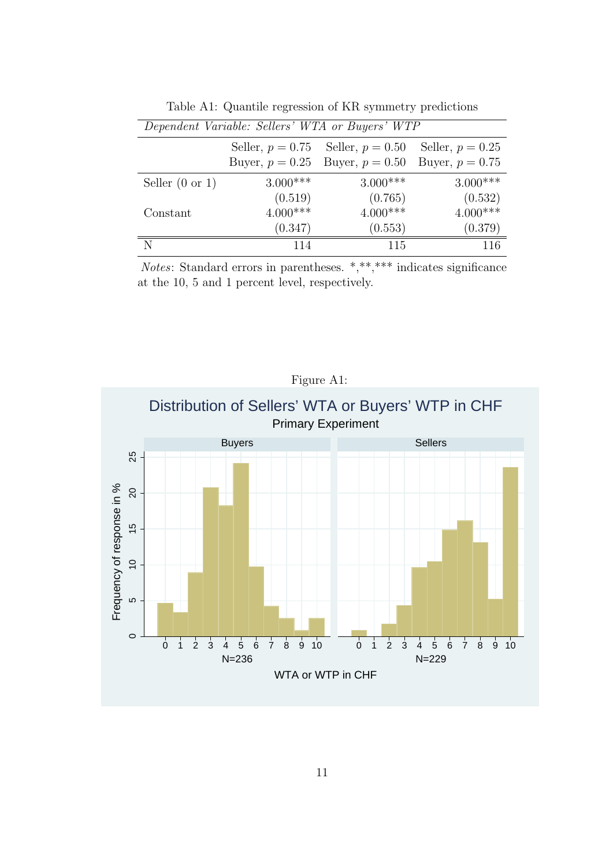|                            |            | Dependent Variable: Sellers' WTA or Buyers' WTP |                    |
|----------------------------|------------|-------------------------------------------------|--------------------|
|                            |            | Seller, $p = 0.75$ Seller, $p = 0.50$           | Seller, $p = 0.25$ |
|                            |            | Buyer, $p = 0.25$ Buyer, $p = 0.50$             | Buyer, $p = 0.75$  |
| Seller $(0 \text{ or } 1)$ | $3.000***$ | $3.000***$                                      | $3.000***$         |
|                            | (0.519)    | (0.765)                                         | (0.532)            |
| Constant                   | $4.000***$ | $4.000***$                                      | $4.000***$         |
|                            | (0.347)    | (0.553)                                         | (0.379)            |
| N                          | 114        | 115                                             | 116                |

Table A1: Quantile regression of KR symmetry predictions

*Notes*: Standard errors in parentheses. \*,\*\*,\*\*\*\* indicates significance at the 10, 5 and 1 percent level, respectively.

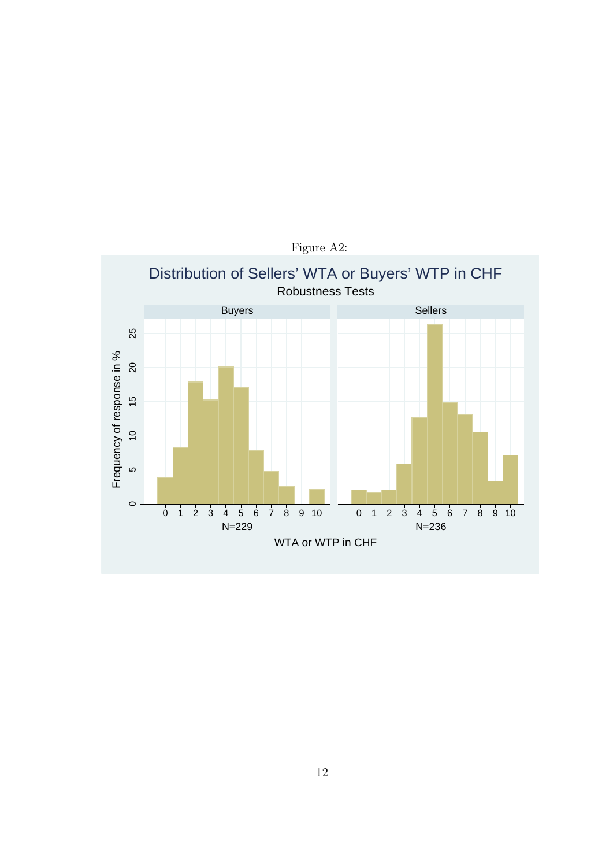

Figure A2: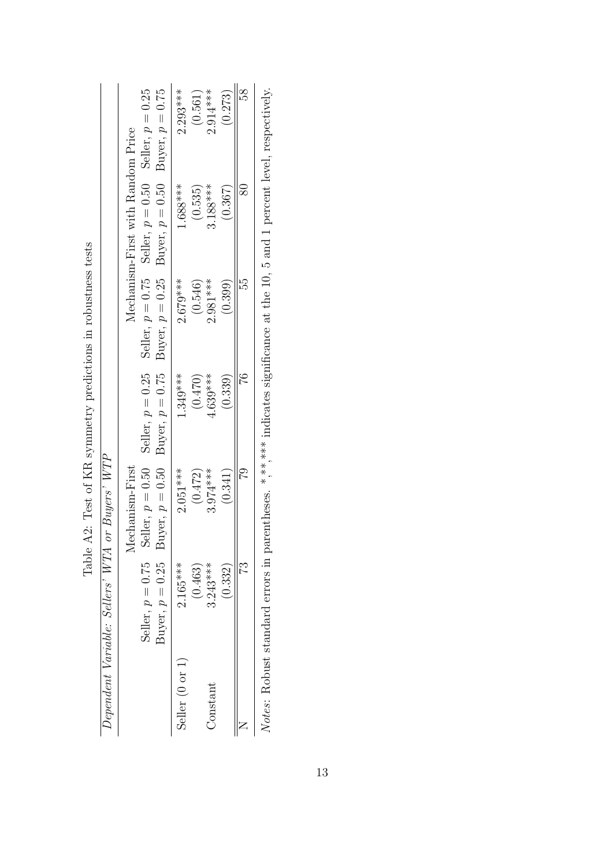|                            | Dependent Variable: Sellers' WTA or Buyers' WTP |                                                                                                                                                                                                                                  |            |            |                                   |            |
|----------------------------|-------------------------------------------------|----------------------------------------------------------------------------------------------------------------------------------------------------------------------------------------------------------------------------------|------------|------------|-----------------------------------|------------|
|                            |                                                 | Mechanism-First                                                                                                                                                                                                                  |            |            | Mechanism-First with Random Price |            |
|                            |                                                 | Seller, $p = 0.75$ Seller, $p = 0.50$ Seller, $p = 0.25$ Seller, $p = 0.75$ Seller, $p = 0.50$ Seller, $p = 0.25$<br>Buyer, $p = 0.25$ Buyer, $p = 0.50$ Buyer, $p = 0.75$ Buyer, $p = 0.25$ Buyer, $p = 0.50$ Buyer, $p = 0.75$ |            |            |                                   |            |
| Seller $(0 \text{ or } 1)$ | $2.165***$                                      | $2.051***$                                                                                                                                                                                                                       | $1.349***$ | $2.679***$ | $1.688***$                        | $2.293***$ |
|                            | (0.463)                                         | (0.472)                                                                                                                                                                                                                          | (0.470)    | (0.546)    | (0.535)                           | (0.561)    |
| $Constant$                 | $3.243***$                                      | $3.974***$                                                                                                                                                                                                                       | 4.639***   | $2.981***$ | $3.188***$                        | $2.914***$ |
|                            | (0.332)                                         | (0.341)                                                                                                                                                                                                                          | (0.339)    | (0.399)    | (0.367)                           | (0.273)    |
|                            | 73                                              | 52                                                                                                                                                                                                                               |            | Ę          |                                   | 58         |

Table  $A2$ : Test of KR symmetry predictions in robustness tests Table A2: Test of KR symmetry predictions in robustness tests